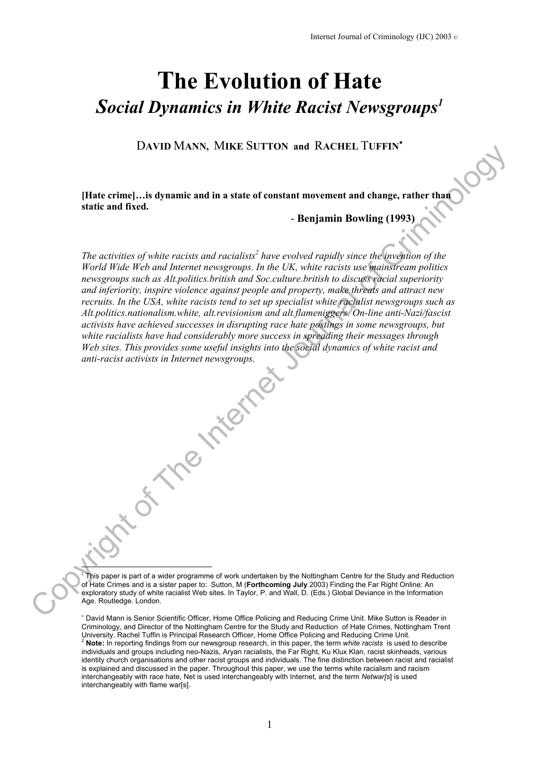# **The Evolution of Hate**  *Social Dynamics in White Racist Newsgroup[s1](#page-0-0)*

D**AVID** M**ANN,** M**IKE** S**UTTON and** R**ACHEL** T**UFFIN**[∗](#page-0-1)

**[Hate crime]…is dynamic and in a state of constant movement and change, rather than static and fixed.**

- **Benjamin Bowling (1993)**

The activities of white racists and racialists<sup>2</sup> have evolved rapidly since the invention of the *World Wide Web and Internet newsgroups. In the UK, white racists use mainstream politics newsgroups such as Alt.politics.british and Soc.culture.british to discuss racial superiority and inferiority, inspire violence against people and property, make threats and attract new recruits. In the USA, white racists tend to set up specialist white racialist newsgroups such as Alt.politics.nationalism.white, alt.revisionism and alt.flameniggers. On-line anti-Nazi/fascist activists have achieved successes in disrupting race hate postings in some newsgroups, but white racialists have had considerably more success in spreading their messages through Web sites. This provides some useful insights into the social dynamics of white racist and anti-racist activists in Internet newsgroups.*  net the Solution of the Solution of the Solution of the Internet And Change, rather than the Internet and the Internet reasons of the URL, while racitis use the<br>investigation of the IR of the Internet reasons on the URL, w

<span id="page-0-0"></span>ļ <sup>1</sup> This paper is part of a wider programme of work undertaken by the Nottingham Centre for the Study and Reduction of Hate Crimes and is a sister paper to: Sutton, M (**Forthcoming July** 2003) Finding the Far Right Online: An exploratory study of white racialist Web sites. In Taylor, P. and Wall, D. (Eds.) Global Deviance in the Information Age. Routledge. London.

<span id="page-0-2"></span><span id="page-0-1"></span>∗ David Mann is Senior Scientific Officer, Home Office Policing and Reducing Crime Unit. Mike Sutton is Reader in Criminology, and Director of the Nottingham Centre for the Study and Reduction of Hate Crimes, Nottingham Trent University. Rachel Tuffin is Principal Research Officer, Home Office Policing and Reducion of rate United Studies, Notungham Tren<br>A **Note:** In reporting findings from our newsgroup research, in this paper, the term white r individuals and groups including neo-Nazis, Aryan racialists, the Far Right, Ku Klux Klan, racist skinheads, various identity church organisations and other racist groups and individuals. The fine distinction between racist and racialist is explained and discussed in the paper. Throughout this paper, we use the terms white racialism and racism interchangeably with race hate, Net is used interchangeably with Internet, and the term *Netwar[s*] is used interchangeably with flame war[s].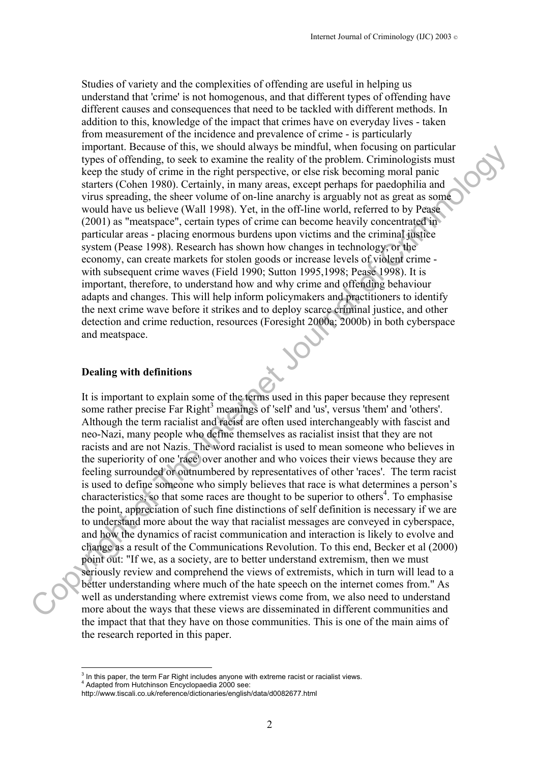Studies of variety and the complexities of offending are useful in helping us understand that 'crime' is not homogenous, and that different types of offending have different causes and consequences that need to be tackled with different methods. In addition to this, knowledge of the impact that crimes have on everyday lives - taken from measurement of the incidence and prevalence of crime - is particularly important. Because of this, we should always be mindful, when focusing on particular types of offending, to seek to examine the reality of the problem. Criminologists must keep the study of crime in the right perspective, or else risk becoming moral panic starters (Cohen 1980). Certainly, in many areas, except perhaps for paedophilia and virus spreading, the sheer volume of on-line anarchy is arguably not as great as some would have us believe (Wall 1998). Yet, in the off-line world, referred to by Pease (2001) as "meatspace", certain types of crime can become heavily concentrated in particular areas - placing enormous burdens upon victims and the criminal justice system (Pease 1998). Research has shown how changes in technology, or the economy, can create markets for stolen goods or increase levels of violent crime with subsequent crime waves (Field 1990; Sutton 1995,1998; Pease 1998). It is important, therefore, to understand how and why crime and offending behaviour adapts and changes. This will help inform policymakers and practitioners to identify the next crime wave before it strikes and to deploy scarce criminal justice, and other detection and crime reduction, resources (Foresight 2000a; 2000b) in both cyberspace and meatspace.

#### **Dealing with definitions**

It is important to explain some of the terms used in this paper because they represent some rather precise Far Right<sup>3</sup> meanings of 'self' and 'us', versus 'them' and 'others'. Although the term racialist and racist are often used interchangeably with fascist and neo-Nazi, many people who define themselves as racialist insist that they are not racists and are not Nazis. The word racialist is used to mean someone who believes in the superiority of one 'race' over another and who voices their views because they are feeling surrounded or outnumbered by representatives of other 'races'. The term racist is used to define someone who simply believes that race is what determines a person's characteristics, so that some races are thought to be superior to others<sup>4</sup>. To emphasise the point, appreciation of such fine distinctions of self definition is necessary if we are to understand more about the way that racialist messages are conveyed in cyberspace, and how the dynamics of racist communication and interaction is likely to evolve and change as a result of the Communications Revolution. To this end, Becker et al (2000) point out: "If we, as a society, are to better understand extremism, then we must seriously review and comprehend the views of extremists, which in turn will lead to a better understanding where much of the hate speech on the internet comes from." As well as understanding where extremist views come from, we also need to understand more about the ways that these views are disseminated in different communities and the impact that that they have on those communities. This is one of the main aims of the research reported in this paper. mynchare receives the vs solid and way is contiluous with the relation of presents of the relations of errors in the right of errors in the right of errors in the right of errors in the right of errors in the right of the

 $\overline{a}$ 

<span id="page-1-0"></span> $3$  In this paper, the term Far Right includes anyone with extreme racist or racialist views.<br>4 Adopted from Hutchinese Enevelopeedia 2000 see:

<span id="page-1-1"></span>Adapted from Hutchinson Encyclopaedia 2000 see:

http://www.tiscali.co.uk/reference/dictionaries/english/data/d0082677.html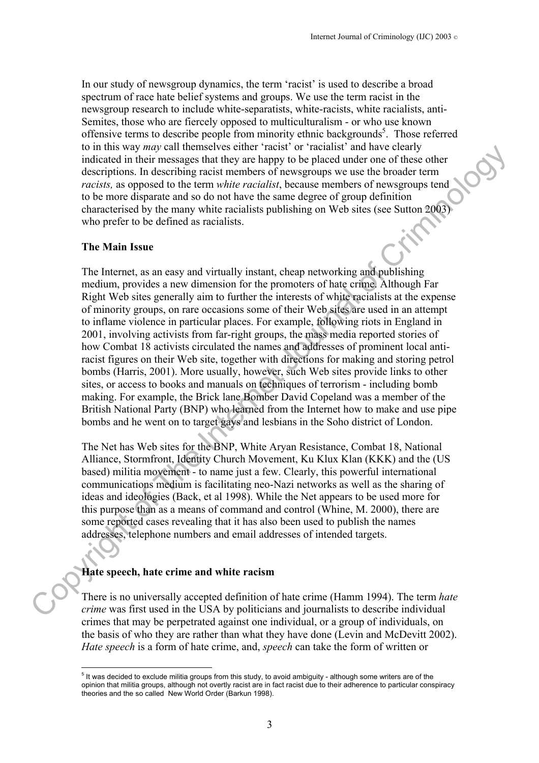In our study of newsgroup dynamics, the term 'racist' is used to describe a broad spectrum of race hate belief systems and groups. We use the term racist in the newsgroup research to include white-separatists, white-racists, white racialists, anti-Semites, those who are fiercely opposed to multiculturalism - or who use known offensive terms to describe people from minority ethnic backgrounds<sup>[5](#page-2-0)</sup>. Those referred to in this way *may* call themselves either 'racist' or 'racialist' and have clearly indicated in their messages that they are happy to be placed under one of these other descriptions. In describing racist members of newsgroups we use the broader term *racists,* as opposed to the term *white racialist*, because members of newsgroups tend to be more disparate and so do not have the same degree of group definition characterised by the many white racialists publishing on Web sites (see Sutton 2003) who prefer to be defined as racialists.

#### **The Main Issue**

The Internet, as an easy and virtually instant, cheap networking and publishing medium, provides a new dimension for the promoters of hate crime. Although Far Right Web sites generally aim to further the interests of white racialists at the expense of minority groups, on rare occasions some of their Web sites are used in an attempt to inflame violence in particular places. For example, following riots in England in 2001, involving activists from far-right groups, the mass media reported stories of how Combat 18 activists circulated the names and addresses of prominent local antiracist figures on their Web site, together with directions for making and storing petrol bombs (Harris, 2001). More usually, however, such Web sites provide links to other sites, or access to books and manuals on techniques of terrorism - including bomb making. For example, the Brick lane Bomber David Copeland was a member of the British National Party (BNP) who learned from the Internet how to make and use pipe bombs and he went on to target gays and lesbians in the Soho district of London. To min way way can tracer when the measures come the measure and any coentry and the criminal of the state of the state of the state of the state of the criminal of criminal of the state of the state of the state of the st

The Net has Web sites for the BNP, White Aryan Resistance, Combat 18, National Alliance, Stormfront, Identity Church Movement, Ku Klux Klan (KKK) and the (US based) militia movement - to name just a few. Clearly, this powerful international communications medium is facilitating neo-Nazi networks as well as the sharing of ideas and ideologies (Back, et al 1998). While the Net appears to be used more for this purpose than as a means of command and control (Whine, M. 2000), there are some reported cases revealing that it has also been used to publish the names addresses, telephone numbers and email addresses of intended targets.

#### **Hate speech, hate crime and white racism**

There is no universally accepted definition of hate crime (Hamm 1994). The term *hate crime* was first used in the USA by politicians and journalists to describe individual crimes that may be perpetrated against one individual, or a group of individuals, on the basis of who they are rather than what they have done (Levin and McDevitt 2002). *Hate speech* is a form of hate crime, and, *speech* can take the form of written or

<span id="page-2-0"></span> $\overline{a}$ <sup>5</sup> It was decided to exclude militia groups from this study, to avoid ambiguity - although some writers are of the opinion that militia groups, although not overtly racist are in fact racist due to their adherence to particular conspiracy theories and the so called New World Order (Barkun 1998).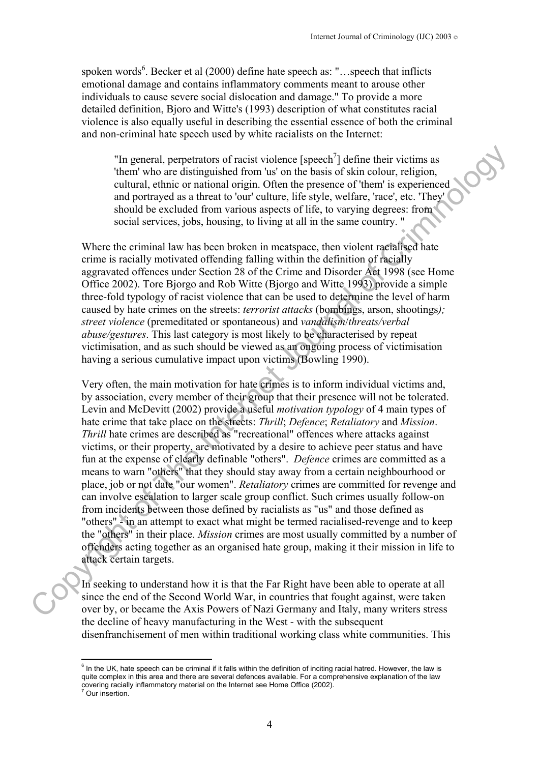spoken words<sup>[6](#page-3-0)</sup>. Becker et al  $(2000)$  define hate speech as: "...speech that inflicts emotional damage and contains inflammatory comments meant to arouse other individuals to cause severe social dislocation and damage." To provide a more detailed definition, Bjoro and Witte's (1993) description of what constitutes racial violence is also equally useful in describing the essential essence of both the criminal and non-criminal hate speech used by white racialists on the Internet:

"In general, perpetrators of racist violence [speech<sup>7</sup>] define their victims as 'them' who are distinguished from 'us' on the basis of skin colour, religion, cultural, ethnic or national origin. Often the presence of 'them' is experienced and portrayed as a threat to 'our' culture, life style, welfare, 'race', etc. 'They' should be excluded from various aspects of life, to varying degrees: from social services, jobs, housing, to living at all in the same country. "

Where the criminal law has been broken in meatspace, then violent racialised hate crime is racially motivated offending falling within the definition of racially aggravated offences under Section 28 of the Crime and Disorder Act 1998 (see Home Office 2002). Tore Bjorgo and Rob Witte (Bjorgo and Witte 1993) provide a simple three-fold typology of racist violence that can be used to determine the level of harm caused by hate crimes on the streets: *terrorist attacks* (bombings, arson, shootings*); street violence* (premeditated or spontaneous) and *vandalism*/*threats/verbal abuse/gestures*. This last category is most likely to be characterised by repeat victimisation, and as such should be viewed as an ongoing process of victimisation having a serious cumulative impact upon victims (Bowling 1990).

Very often, the main motivation for hate crimes is to inform individual victims and, by association, every member of their group that their presence will not be tolerated. Levin and McDevitt (2002) provide a useful *motivation typology* of 4 main types of hate crime that take place on the streets: *Thrill*; *Defence*; *Retaliatory* and *Mission*. *Thrill* hate crimes are described as "recreational" offences where attacks against victims, or their property, are motivated by a desire to achieve peer status and have fun at the expense of clearly definable "others". *Defence* crimes are committed as a means to warn "others" that they should stay away from a certain neighbourhood or place, job or not date "our women". *Retaliatory* crimes are committed for revenge and can involve escalation to larger scale group conflict. Such crimes usually follow-on from incidents between those defined by racialists as "us" and those defined as "others" - in an attempt to exact what might be termed racialised-revenge and to keep the "others" in their place. *Mission* crimes are most usually committed by a number of offenders acting together as an organised hate group, making it their mission in life to attack certain targets. "In general, perpetrators of racist violence [speech<sup>7</sup>] define their victims as "how are distinguished from us on the basis of skim colour, religion, cultimal, enhavor of the main scale in colour colour colour control an

In seeking to understand how it is that the Far Right have been able to operate at all since the end of the Second World War, in countries that fought against, were taken over by, or became the Axis Powers of Nazi Germany and Italy, many writers stress the decline of heavy manufacturing in the West - with the subsequent disenfranchisement of men within traditional working class white communities. This

<span id="page-3-1"></span><span id="page-3-0"></span> $\overline{\phantom{a}}^{\text{6}}$  In the UK, hate speech can be criminal if it falls within the definition of inciting racial hatred. However, the law is quite complex in this area and there are several defences available. For a comprehensive explanation of the law covering racially inflammatory material on the Internet see Home Office (2002).<br>7 Our insertien Our insertion.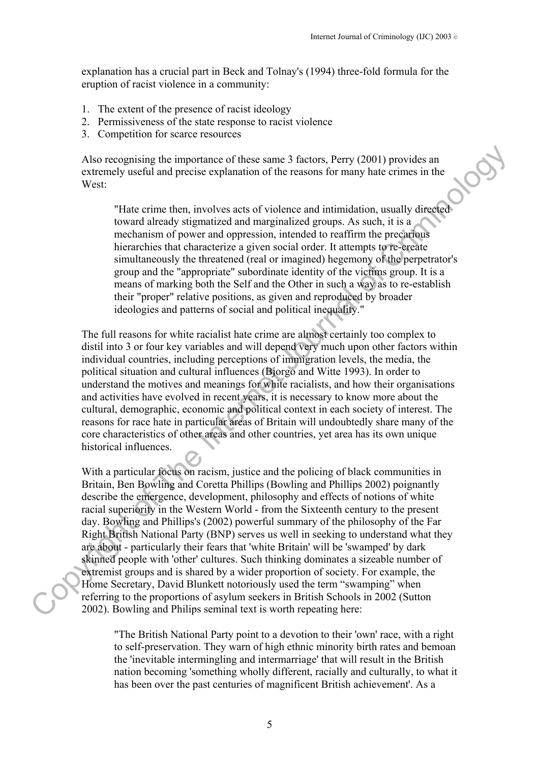explanation has a crucial part in Beck and Tolnay's (1994) three-fold formula for the eruption of racist violence in a community:

- 1. The extent of the presence of racist ideology
- 2. Permissiveness of the state response to racist violence
- 3. Competition for scarce resources

Also recognising the importance of these same 3 factors, Perry (2001) provides an extremely useful and precise explanation of the reasons for many hate crimes in the West:

"Hate crime then, involves acts of violence and intimidation, usually directed toward already stigmatized and marginalized groups. As such, it is a mechanism of power and oppression, intended to reaffirm the precarious hierarchies that characterize a given social order. It attempts to re-create simultaneously the threatened (real or imagined) hegemony of the perpetrator's group and the "appropriate" subordinate identity of the victims group. It is a means of marking both the Self and the Other in such a way as to re-establish their "proper" relative positions, as given and reproduced by broader ideologies and patterns of social and political inequality."

The full reasons for white racialist hate crime are almost certainly too complex to distil into 3 or four key variables and will depend very much upon other factors within individual countries, including perceptions of immigration levels, the media, the political situation and cultural influences (Bjorgo and Witte 1993). In order to understand the motives and meanings for white racialists, and how their organisations and activities have evolved in recent years, it is necessary to know more about the cultural, demographic, economic and political context in each society of interest. The reasons for race hate in particular areas of Britain will undoubtedly share many of the core characteristics of other areas and other countries, yet area has its own unique historical influences.

With a particular focus on racism, justice and the policing of black communities in Britain, Ben Bowling and Coretta Phillips (Bowling and Phillips 2002) poignantly describe the emergence, development, philosophy and effects of notions of white racial superiority in the Western World - from the Sixteenth century to the present day. Bowling and Phillips's (2002) powerful summary of the philosophy of the Far Right British National Party (BNP) serves us well in seeking to understand what they are about - particularly their fears that 'white Britain' will be 'swamped' by dark skinned people with 'other' cultures. Such thinking dominates a sizeable number of extremist groups and is shared by a wider proportion of society. For example, the Home Secretary, David Blunkett notoriously used the term "swamping" when referring to the proportions of asylum seekers in British Schools in 2002 (Sutton 2002). Bowling and Philips seminal text is worth repeating here: Also recognising the importance of these same 3 factors, Perry (2001) provides an extremely useful and precisic explanation of the reasons for many bate erims; in the West "Hate erims then, involves acts of violence and i

> "The British National Party point to a devotion to their 'own' race, with a right to self-preservation. They warn of high ethnic minority birth rates and bemoan the 'inevitable intermingling and intermarriage' that will result in the British nation becoming 'something wholly different, racially and culturally, to what it has been over the past centuries of magnificent British achievement'. As a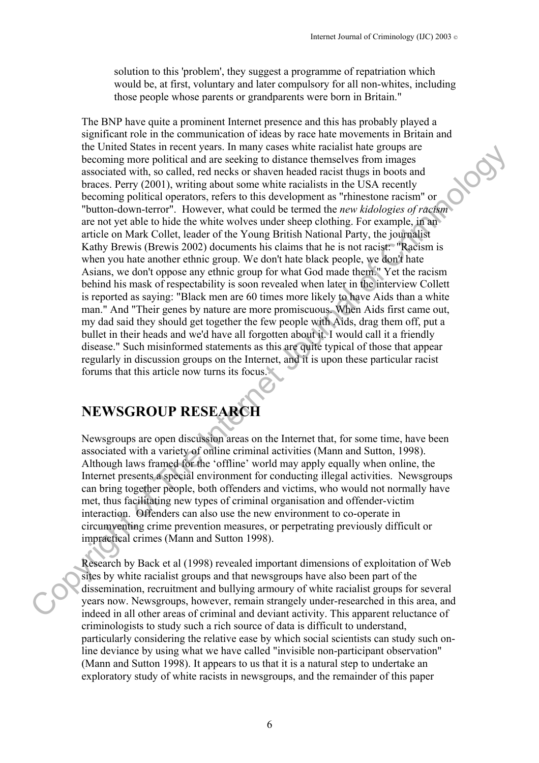solution to this 'problem', they suggest a programme of repatriation which would be, at first, voluntary and later compulsory for all non-whites, including those people whose parents or grandparents were born in Britain."

The BNP have quite a prominent Internet presence and this has probably played a significant role in the communication of ideas by race hate movements in Britain and the United States in recent years. In many cases white racialist hate groups are becoming more political and are seeking to distance themselves from images associated with, so called, red necks or shaven headed racist thugs in boots and braces. Perry (2001), writing about some white racialists in the USA recently becoming political operators, refers to this development as "rhinestone racism" or "button-down-terror". However, what could be termed the *new kidologies of racism* are not yet able to hide the white wolves under sheep clothing. For example, in an article on Mark Collet, leader of the Young British National Party, the journalist Kathy Brewis (Brewis 2002) documents his claims that he is not racist: "Racism is when you hate another ethnic group. We don't hate black people, we don't hate Asians, we don't oppose any ethnic group for what God made them." Yet the racism behind his mask of respectability is soon revealed when later in the interview Collett is reported as saying: "Black men are 60 times more likely to have Aids than a white man." And "Their genes by nature are more promiscuous. When Aids first came out, my dad said they should get together the few people with Aids, drag them off, put a bullet in their heads and we'd have all forgotten about it. I would call it a friendly disease." Such misinformed statements as this are quite typical of those that appear regularly in discussion groups on the Internet, and it is upon these particular racist forums that this article now turns its focus. Inc. cultice 3 micson in Copyright of the Internet Joursel Street in the Internet Internet Internet Internet Internet Internet Internet Internet Scheme Scheme Scheme Scheme Scheme Scheme Scheme Scheme Scheme Scheme Scheme

# **NEWSGROUP RESEARCH**

Newsgroups are open discussion areas on the Internet that, for some time, have been associated with a variety of online criminal activities (Mann and Sutton, 1998). Although laws framed for the 'offline' world may apply equally when online, the Internet presents a special environment for conducting illegal activities. Newsgroups can bring together people, both offenders and victims, who would not normally have met, thus facilitating new types of criminal organisation and offender-victim interaction. Offenders can also use the new environment to co-operate in circumventing crime prevention measures, or perpetrating previously difficult or impractical crimes (Mann and Sutton 1998).

Research by Back et al (1998) revealed important dimensions of exploitation of Web sites by white racialist groups and that newsgroups have also been part of the dissemination, recruitment and bullying armoury of white racialist groups for several years now. Newsgroups, however, remain strangely under-researched in this area, and indeed in all other areas of criminal and deviant activity. This apparent reluctance of criminologists to study such a rich source of data is difficult to understand, particularly considering the relative ease by which social scientists can study such online deviance by using what we have called "invisible non-participant observation" (Mann and Sutton 1998). It appears to us that it is a natural step to undertake an exploratory study of white racists in newsgroups, and the remainder of this paper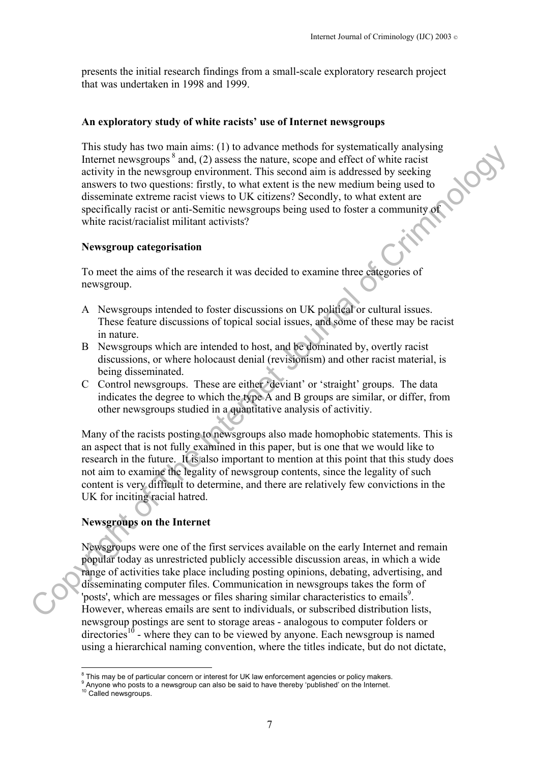presents the initial research findings from a small-scale exploratory research project that was undertaken in 1998 and 1999.

#### **An exploratory study of white racists' use of Internet newsgroups**

This study has two main aims: (1) to advance methods for systematically analysing Internet newsgroups  $\delta$  and, (2) assess the nature, scope and effect of white racist activity in the newsgroup environment. This second aim is addressed by seeking answers to two questions: firstly, to what extent is the new medium being used to disseminate extreme racist views to UK citizens? Secondly, to what extent are specifically racist or anti-Semitic newsgroups being used to foster a community of white racist/racialist militant activists? In this bough mas two mann munit (1) to saven the most of systemating mappears and effect of white accisitatively in the new specifies are and experiment this second aim is addressed by secking answers to two questions. Th

#### **Newsgroup categorisation**

To meet the aims of the research it was decided to examine three categories of newsgroup.

- A Newsgroups intended to foster discussions on UK political or cultural issues. These feature discussions of topical social issues, and some of these may be racist in nature.
- B Newsgroups which are intended to host, and be dominated by, overtly racist discussions, or where holocaust denial (revisionism) and other racist material, is being disseminated.
- C Control newsgroups. These are either 'deviant' or 'straight' groups. The data indicates the degree to which the type A and B groups are similar, or differ, from other newsgroups studied in a quantitative analysis of activitiy.

Many of the racists posting to newsgroups also made homophobic statements. This is an aspect that is not fully examined in this paper, but is one that we would like to research in the future. It is also important to mention at this point that this study does not aim to examine the legality of newsgroup contents, since the legality of such content is very difficult to determine, and there are relatively few convictions in the UK for inciting racial hatred.

## **Newsgroups on the Internet**

Newsgroups were one of the first services available on the early Internet and remain popular today as unrestricted publicly accessible discussion areas, in which a wide range of activities take place including posting opinions, debating, advertising, and disseminating computer files. Communication in newsgroups takes the form of 'posts', which are messages or files sharing similar characteristics to emails<sup>9</sup>. However, whereas emails are sent to individuals, or subscribed distribution lists, newsgroup postings are sent to storage areas - analogous to computer folders or  $direction$  - where they can to be viewed by anyone. Each newsgroup is named using a hierarchical naming convention, where the titles indicate, but do not dictate,

 $\overline{a}$ 

<span id="page-6-0"></span> $8$  This may be of particular concern or interest for UK law enforcement agencies or policy makers.

<span id="page-6-1"></span><sup>&</sup>lt;sup>9</sup> Anyone who posts to a newsgroup can also be said to have thereby 'published' on the Internet.

<span id="page-6-2"></span><sup>&</sup>lt;sup>10</sup> Called newsgroups.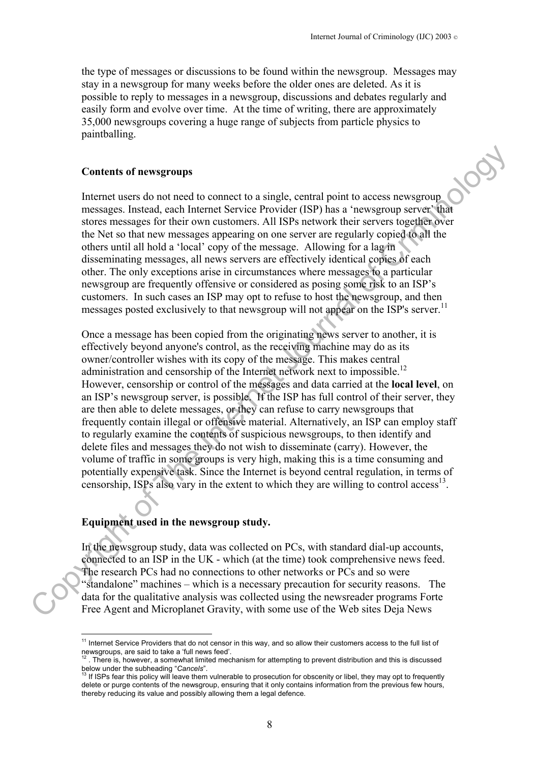the type of messages or discussions to be found within the newsgroup. Messages may stay in a newsgroup for many weeks before the older ones are deleted. As it is possible to reply to messages in a newsgroup, discussions and debates regularly and easily form and evolve over time. At the time of writing, there are approximately 35,000 newsgroups covering a huge range of subjects from particle physics to paintballing.

#### **Contents of newsgroups**

Internet users do not need to connect to a single, central point to access newsgroup messages. Instead, each Internet Service Provider (ISP) has a 'newsgroup server' that stores messages for their own customers. All ISPs network their servers together over the Net so that new messages appearing on one server are regularly copied to all the others until all hold a 'local' copy of the message. Allowing for a lag in disseminating messages, all news servers are effectively identical copies of each other. The only exceptions arise in circumstances where messages to a particular newsgroup are frequently offensive or considered as posing some risk to an ISP's customers. In such cases an ISP may opt to refuse to host the newsgroup, and then messages posted exclusively to that newsgroup will not appear on the ISP's server.<sup>11</sup>

Once a message has been copied from the originating news server to another, it is effectively beyond anyone's control, as the receiving machine may do as its owner/controller wishes with its copy of the message. This makes central administration and censorship of the Internet network next to impossible.<sup>12</sup> However, censorship or control of the messages and data carried at the **local level**, on an ISP's newsgroup server, is possible. If the ISP has full control of their server, they are then able to delete messages, or they can refuse to carry newsgroups that frequently contain illegal or offensive material. Alternatively, an ISP can employ staff to regularly examine the contents of suspicious newsgroups, to then identify and delete files and messages they do not wish to disseminate (carry). However, the volume of traffic in some groups is very high, making this is a time consuming and potentially expensive task. Since the Internet is beyond central regulation, in terms of censorship, ISPs also vary in the extent to which they are willing to control  $\alpha$ cess<sup>13</sup>. **Contents of newsgroups**<br>
Thermet users do not need to enmoct to a single, central point to access newsgroup<br>
messages. Instead, cash internet Scrive Provider (ISP) has a "newsgroup server" that<br>
stores messages for the i

# **Equipment used in the newsgroup study.**

 $\overline{a}$ 

In the newsgroup study, data was collected on PCs, with standard dial-up accounts, connected to an ISP in the UK - which (at the time) took comprehensive news feed. The research PCs had no connections to other networks or PCs and so were "standalone" machines – which is a necessary precaution for security reasons. The data for the qualitative analysis was collected using the newsreader programs Forte Free Agent and Microplanet Gravity, with some use of the Web sites Deja News

<span id="page-7-0"></span> $11$  Internet Service Providers that do not censor in this way, and so allow their customers access to the full list of

<span id="page-7-1"></span>newsgroups, are said to take a 'full news feed'.<br><sup>12</sup> . There is, however, a somewhat limited mechanism for attempting to prevent distribution and this is discussed below under the subheading "*Cancels*". 13 If ISPs fear this policy will leave them vulnerable to prosecution for obscenity or libel, they may opt to frequently

<span id="page-7-2"></span>delete or purge contents of the newsgroup, ensuring that it only contains information from the previous few hours, thereby reducing its value and possibly allowing them a legal defence.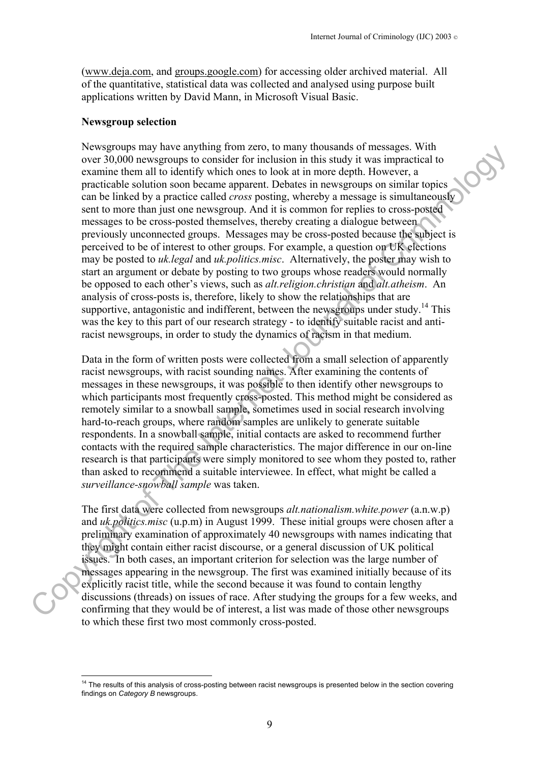(www.deja.com, and groups.google.com) for accessing older archived material. All of the quantitative, statistical data was collected and analysed using purpose built applications written by David Mann, in Microsoft Visual Basic.

#### **Newsgroup selection**

 $\overline{a}$ 

Newsgroups may have anything from zero, to many thousands of messages. With over 30,000 newsgroups to consider for inclusion in this study it was impractical to examine them all to identify which ones to look at in more depth. However, a practicable solution soon became apparent. Debates in newsgroups on similar topics can be linked by a practice called *cross* posting, whereby a message is simultaneously sent to more than just one newsgroup. And it is common for replies to cross-posted messages to be cross-posted themselves, thereby creating a dialogue between previously unconnected groups. Messages may be cross-posted because the subject is perceived to be of interest to other groups. For example, a question on UK elections may be posted to *uk.legal* and *uk.politics.misc*. Alternatively, the poster may wish to start an argument or debate by posting to two groups whose readers would normally be opposed to each other's views, such as *alt.religion.christian* and *alt.atheism*. An analysis of cross-posts is, therefore, likely to show the relationships that are supportive, antagonistic and indifferent, between the newsgroups under study.<sup>14</sup> This was the key to this part of our research strategy - to identify suitable racist and antiracist newsgroups, in order to study the dynamics of racism in that medium. Newsgroups may have any<br>move appoint at the store in this satisfy the sample force over 30,000 newsgroups to consider for inclusion in this satisfy the sample clear<br>examine the mail to identify which ones to look at in mo

Data in the form of written posts were collected from a small selection of apparently racist newsgroups, with racist sounding names. After examining the contents of messages in these newsgroups, it was possible to then identify other newsgroups to which participants most frequently cross-posted. This method might be considered as remotely similar to a snowball sample, sometimes used in social research involving hard-to-reach groups, where random samples are unlikely to generate suitable respondents. In a snowball sample, initial contacts are asked to recommend further contacts with the required sample characteristics. The major difference in our on-line research is that participants were simply monitored to see whom they posted to, rather than asked to recommend a suitable interviewee. In effect, what might be called a *surveillance-snowball sample* was taken.

The first data were collected from newsgroups *alt.nationalism.white.power* (a.n.w.p) and *uk.politics.misc* (u.p.m) in August 1999. These initial groups were chosen after a preliminary examination of approximately 40 newsgroups with names indicating that they might contain either racist discourse, or a general discussion of UK political issues. In both cases, an important criterion for selection was the large number of messages appearing in the newsgroup. The first was examined initially because of its explicitly racist title, while the second because it was found to contain lengthy discussions (threads) on issues of race. After studying the groups for a few weeks, and confirming that they would be of interest, a list was made of those other newsgroups to which these first two most commonly cross-posted.

<span id="page-8-0"></span><sup>&</sup>lt;sup>14</sup> The results of this analysis of cross-posting between racist newsgroups is presented below in the section covering findings on *Category B* newsgroups.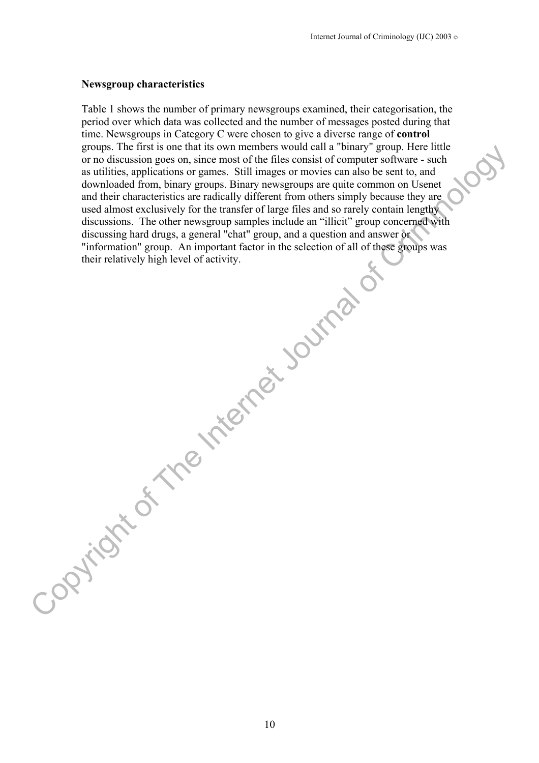#### **Newsgroup characteristics**

Table 1 shows the number of primary newsgroups examined, their categorisation, the period over which data was collected and the number of messages posted during that time. Newsgroups in Category C were chosen to give a diverse range of **control** groups. The first is one that its own members would call a "binary" group. Here little or no discussion goes on, since most of the files consist of computer software - such as utilities, applications or games. Still images or movies can also be sent to, and downloaded from, binary groups. Binary newsgroups are quite common on Usenet and their characteristics are radically different from others simply because they are used almost exclusively for the transfer of large files and so rarely contain lengthy discussions. The other newsgroup samples include an "illicit" group concerned with discussing hard drugs, a general "chat" group, and a question and answer or "information" group. An important factor in the selection of all of these groups was their relatively high level of activity. From the two members would can all when the steel that the internet Internet The Internet Internet Internet Internet Internet Southwest Computer space such as such that such that the steel such that such that the steel sou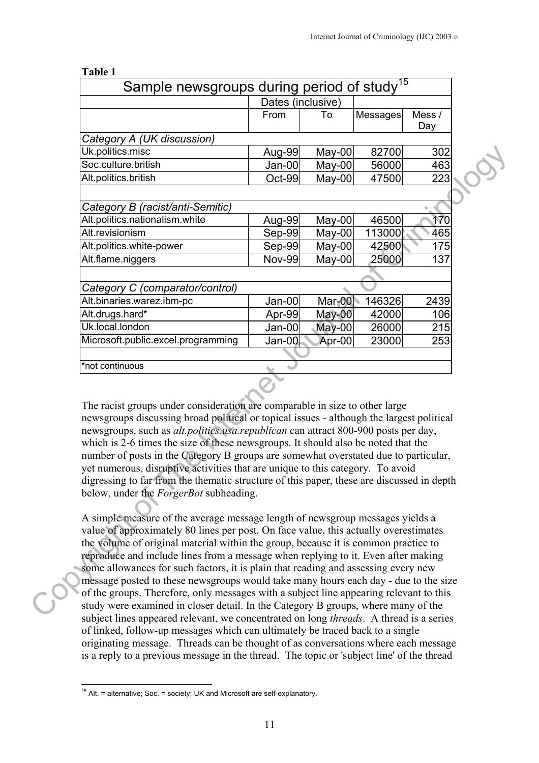| Sample newsgroups during period of study <sup>15</sup>                                                                                                                                                                                                                                                                                                                                                                                                                                                                                                                                                                                                                           |                   |          |                                                                               |               |  |
|----------------------------------------------------------------------------------------------------------------------------------------------------------------------------------------------------------------------------------------------------------------------------------------------------------------------------------------------------------------------------------------------------------------------------------------------------------------------------------------------------------------------------------------------------------------------------------------------------------------------------------------------------------------------------------|-------------------|----------|-------------------------------------------------------------------------------|---------------|--|
|                                                                                                                                                                                                                                                                                                                                                                                                                                                                                                                                                                                                                                                                                  | Dates (inclusive) |          |                                                                               |               |  |
|                                                                                                                                                                                                                                                                                                                                                                                                                                                                                                                                                                                                                                                                                  | From              | To       | Messages                                                                      | Mess /<br>Day |  |
| Category A (UK discussion)                                                                                                                                                                                                                                                                                                                                                                                                                                                                                                                                                                                                                                                       |                   |          |                                                                               |               |  |
| Uk.politics.misc                                                                                                                                                                                                                                                                                                                                                                                                                                                                                                                                                                                                                                                                 | Aug-99            | May-00   | 82700                                                                         | 302           |  |
| Soc.culture.british                                                                                                                                                                                                                                                                                                                                                                                                                                                                                                                                                                                                                                                              | $Jan-00$          | $May-00$ | 56000                                                                         | 463           |  |
| Alt.politics.british                                                                                                                                                                                                                                                                                                                                                                                                                                                                                                                                                                                                                                                             | Oct-99            | $Mav-00$ | 47500                                                                         | 223           |  |
| Category B (racist/anti-Semitic)                                                                                                                                                                                                                                                                                                                                                                                                                                                                                                                                                                                                                                                 |                   |          |                                                                               |               |  |
| Alt.politics.nationalism.white                                                                                                                                                                                                                                                                                                                                                                                                                                                                                                                                                                                                                                                   | Aug-99            | May-00   | 46500                                                                         | 170           |  |
| Alt.revisionism                                                                                                                                                                                                                                                                                                                                                                                                                                                                                                                                                                                                                                                                  | Sep-99            | $May-00$ | 113000                                                                        | 465           |  |
| Alt.politics.white-power                                                                                                                                                                                                                                                                                                                                                                                                                                                                                                                                                                                                                                                         | Sep-99            | May-00   | 42500                                                                         | 175           |  |
| Alt.flame.niggers                                                                                                                                                                                                                                                                                                                                                                                                                                                                                                                                                                                                                                                                | <b>Nov-99</b>     | $May-00$ | 25000                                                                         | 137           |  |
|                                                                                                                                                                                                                                                                                                                                                                                                                                                                                                                                                                                                                                                                                  |                   |          |                                                                               |               |  |
| Category C (comparator/control)                                                                                                                                                                                                                                                                                                                                                                                                                                                                                                                                                                                                                                                  |                   |          |                                                                               |               |  |
| Alt.binaries.warez.ibm-pc                                                                                                                                                                                                                                                                                                                                                                                                                                                                                                                                                                                                                                                        | Jan-00            | $Mar-00$ | 146326                                                                        | 2439          |  |
| Alt.drugs.hard*                                                                                                                                                                                                                                                                                                                                                                                                                                                                                                                                                                                                                                                                  | Apr-99            | $May-00$ | 42000                                                                         | 106           |  |
| Uk.local.london                                                                                                                                                                                                                                                                                                                                                                                                                                                                                                                                                                                                                                                                  | Jan-00            | $May-00$ | 26000                                                                         | 215           |  |
| Microsoft.public.excel.programming                                                                                                                                                                                                                                                                                                                                                                                                                                                                                                                                                                                                                                               | Jan-00            | Apr-00   | 23000                                                                         | 253           |  |
|                                                                                                                                                                                                                                                                                                                                                                                                                                                                                                                                                                                                                                                                                  |                   |          |                                                                               |               |  |
| *not continuous                                                                                                                                                                                                                                                                                                                                                                                                                                                                                                                                                                                                                                                                  |                   |          |                                                                               |               |  |
| The racist groups under consideration are comparable in size to other large<br>newsgroups discussing broad political or topical issues - although the largest political<br>newsgroups, such as <i>alt.politics.usa.republican</i> can attract 800-900 posts per day,<br>which is 2-6 times the size of these newsgroups. It should also be noted that the<br>number of posts in the Category B groups are somewhat overstated due to particular,<br>yet numerous, disruptive activities that are unique to this category. To avoid<br>digressing to far from the thematic structure of this paper, these are discussed in depth<br>below, under the <i>ForgerBot</i> subheading. |                   |          |                                                                               |               |  |
|                                                                                                                                                                                                                                                                                                                                                                                                                                                                                                                                                                                                                                                                                  |                   |          | A simple measure of the average message length of newsgroup messages yields a |               |  |

**Table 1**

A simple measure of the average message length of newsgroup messages yields a value of approximately 80 lines per post. On face value, this actually overestimates the volume of original material within the group, because it is common practice to reproduce and include lines from a message when replying to it. Even after making some allowances for such factors, it is plain that reading and assessing every new message posted to these newsgroups would take many hours each day - due to the size of the groups. Therefore, only messages with a subject line appearing relevant to this study were examined in closer detail. In the Category B groups, where many of the subject lines appeared relevant, we concentrated on long *threads*. A thread is a series of linked, follow-up messages which can ultimately be traced back to a single originating message. Threads can be thought of as conversations where each message is a reply to a previous message in the thread. The topic or 'subject line' of the thread

<span id="page-10-0"></span> $\overline{a}$ <sup>15</sup> Alt. = alternative; Soc. = society; UK and Microsoft are self-explanatory.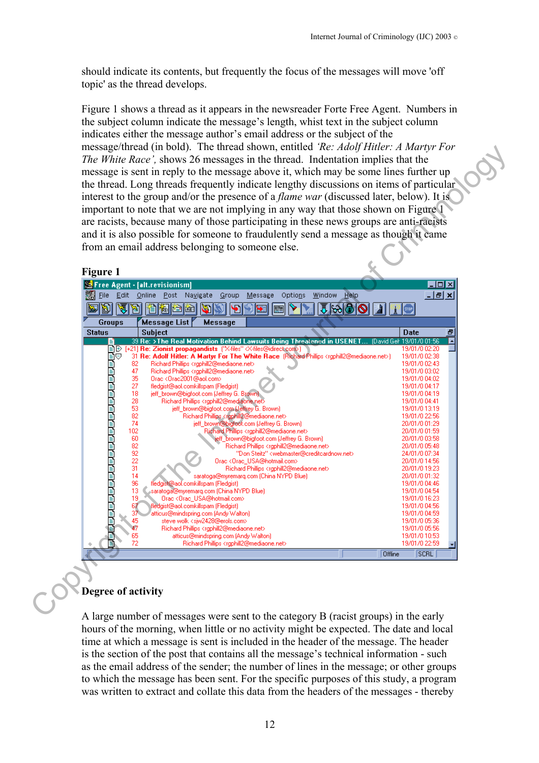should indicate its contents, but frequently the focus of the messages will move 'off topic' as the thread develops.

Figure 1 shows a thread as it appears in the newsreader Forte Free Agent. Numbers in the subject column indicate the message's length, whist text in the subject column indicates either the message author's email address or the subject of the message/thread (in bold). The thread shown, entitled *'Re: Adolf Hitler: A Martyr For The White Race',* shows 26 messages in the thread. Indentation implies that the message is sent in reply to the message above it, which may be some lines further up the thread. Long threads frequently indicate lengthy discussions on items of particular interest to the group and/or the presence of a *flame war* (discussed later, below). It is important to note that we are not implying in any way that those shown on Figure 1 are racists, because many of those participating in these news groups are anti-racists and it is also possible for someone to fraudulently send a message as though it came from an email address belonging to someone else.

#### **Figure 1**

|                                                                                                      | interest to the group and/or the presence of a <i>flame war</i> (discussed later, below). It is<br>important to note that we are not implying in any way that those shown on Figure 1    |                                |
|------------------------------------------------------------------------------------------------------|------------------------------------------------------------------------------------------------------------------------------------------------------------------------------------------|--------------------------------|
|                                                                                                      | are racists, because many of those participating in these news groups are anti-racists                                                                                                   |                                |
|                                                                                                      | and it is also possible for someone to fraudulently send a message as though it came                                                                                                     |                                |
|                                                                                                      | from an email address belonging to someone else.                                                                                                                                         |                                |
|                                                                                                      |                                                                                                                                                                                          |                                |
| <b>Figure 1</b>                                                                                      |                                                                                                                                                                                          |                                |
| Free Agent - [alt.revisionism]                                                                       |                                                                                                                                                                                          | $\Box$ ol $\times$             |
| Edit<br>Eile                                                                                         | Online<br>Post Navigate<br>Group<br>Options<br>Window<br>Message                                                                                                                         | $-10x$<br>Help                 |
|                                                                                                      | $\mathbf{e}$<br>首陷台险<br>$\mathbf{P}$<br>聂<br>W                                                                                                                                           | 570P                           |
| <b>Groups</b>                                                                                        | <b>Message List</b><br>Message                                                                                                                                                           |                                |
| Status                                                                                               | Subject                                                                                                                                                                                  | Date<br>Ð                      |
|                                                                                                      | 39 Re: >The Real Motivation Behind Lawsuits Being Threatened in USENET                                                                                                                   | David Gel 19/01/0 01:56        |
|                                                                                                      |                                                                                                                                                                                          | 19/01/0 02:20                  |
| 82                                                                                                   | 31 Re: Adolf Hitler: A Martyr For The White Race (Richard Phillips <rgphill2@mediaone.net>)<br/>Richard Phillips <rgphill2@mediaone.net></rgphill2@mediaone.net></rgphill2@mediaone.net> | 19/01/0 02:38<br>19/01/0 02:43 |
| 47                                                                                                   | Richard Phillips <rgphill2@mediaone.net></rgphill2@mediaone.net>                                                                                                                         | 19/01/0 03:02                  |
| 35                                                                                                   | Orac <drac2001@aol.com></drac2001@aol.com>                                                                                                                                               | 19/01/0 04:02                  |
| 27                                                                                                   | fledgist@aol.comkillspam (Fledgist)                                                                                                                                                      | 19/01/0 04:17                  |
| 18<br>28                                                                                             | jeff_brown@bigfoot.com (Jeffrey G. Brown)<br>Richard Phillips <rgphill2@mediaone.net></rgphill2@mediaone.net>                                                                            | 19/01/0 04:19<br>19/01/0 04:41 |
| 53                                                                                                   | jeff_brown@bigfoot.com (Jeffrey G. Brown)                                                                                                                                                | 19/01/013:19                   |
| 82                                                                                                   | Richard Phillips <rgphill2@mediaone.net></rgphill2@mediaone.net>                                                                                                                         | 19/01/0 22:56                  |
| 74                                                                                                   | jeff_brown@bigfoot.com (Jeffrey G. Brown)                                                                                                                                                | 20/01/0 01:29                  |
| 102<br>60                                                                                            | Richard Phillips <rgphill2@mediaone.net><br/>jeff_brown@bigfoot.com (Jeffrey G. Brown)</rgphill2@mediaone.net>                                                                           | 20/01/0 01:59<br>20/01/0 03:58 |
| 82                                                                                                   | Richard Phillips <rgphill2@mediaone.net></rgphill2@mediaone.net>                                                                                                                         | 20/01/0 05:48                  |
| 92                                                                                                   | "Don Steitz" <webmaster@creditcardnow.net></webmaster@creditcardnow.net>                                                                                                                 | 24/01/0 07:34                  |
| 22                                                                                                   | Orac <orac_usa@hotmail.com></orac_usa@hotmail.com>                                                                                                                                       | 20/01/0 14:56                  |
| 31                                                                                                   | Richard Phillips <rgphill2@mediaone.net></rgphill2@mediaone.net>                                                                                                                         | 20/01/0 19:23                  |
| 14<br>96                                                                                             | saratoga@myremarq.com (China NYPD Blue)<br>ledgist@aol.comkillspam (Fledgist)                                                                                                            | 20/01/0 01:32<br>19/01/0 04:46 |
| 13                                                                                                   | saratoga@myremarq.com (China NYPD Blue)                                                                                                                                                  | 19/01/0 04:54                  |
| 19                                                                                                   | Orac <drac_usa@hotmail.com></drac_usa@hotmail.com>                                                                                                                                       | 19/01/0 16:23                  |
| 67                                                                                                   | ledgist@aol.comkillspam (Fledgist)                                                                                                                                                       | 19/01/0 04:56                  |
|                                                                                                      | atticus@mindspring.com (Andy Walton)<br>steve wolk <sjw2428@erols.com></sjw2428@erols.com>                                                                                               | 19/01/0 04:59<br>19/01/0 05:36 |
| 37                                                                                                   | Richard Phillips <rgphill2@mediaone.net></rgphill2@mediaone.net>                                                                                                                         | 19/01/0 05:56                  |
| المسارين والمسارين والمسارين والمسارين والمسارين والمسارين والمسارين والمسارين والمسارين<br>45<br>47 |                                                                                                                                                                                          | 19/01/0 10:53                  |
| 65                                                                                                   | atticus@mindspring.com (Andy Walton)                                                                                                                                                     |                                |
| 72<br>E                                                                                              | Richard Phillips <rgphill2@mediaone.net></rgphill2@mediaone.net>                                                                                                                         | 19/01/0 22:59                  |
|                                                                                                      |                                                                                                                                                                                          | Offline<br><b>SCRL</b>         |

#### **Degree of activity**

A large number of messages were sent to the category B (racist groups) in the early hours of the morning, when little or no activity might be expected. The date and local time at which a message is sent is included in the header of the message. The header is the section of the post that contains all the message's technical information - such as the email address of the sender; the number of lines in the message; or other groups to which the message has been sent. For the specific purposes of this study, a program was written to extract and collate this data from the headers of the messages - thereby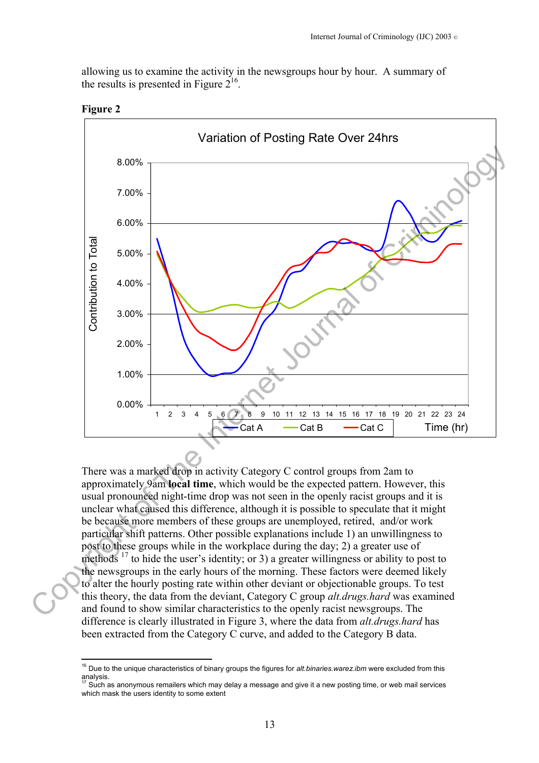allowing us to examine the activity in the newsgroups hour by hour. A summary of the results is presented in Figure  $2^{16}$ .



**Figure 2**

 $\overline{a}$ 

There was a marked drop in activity Category C control groups from 2am to approximately 9am **local time**, which would be the expected pattern. However, this usual pronounced night-time drop was not seen in the openly racist groups and it is unclear what caused this difference, although it is possible to speculate that it might be because more members of these groups are unemployed, retired, and/or work particular shift patterns. Other possible explanations include 1) an unwillingness to post to these groups while in the workplace during the day; 2) a greater use of methods  $17$  to hide the user's identity; or 3) a greater willingness or ability to post to the newsgroups in the early hours of the morning. These factors were deemed likely to alter the hourly posting rate within other deviant or objectionable groups. To test this theory, the data from the deviant, Category C group *alt.drugs.hard* was examined and found to show similar characteristics to the openly racist newsgroups. The difference is clearly illustrated in Figure 3, where the data from *alt.drugs.hard* has been extracted from the Category C curve, and added to the Category B data.

<span id="page-12-0"></span><sup>16</sup> Due to the unique characteristics of binary groups the figures for *alt.binaries.warez.ibm* were excluded from this analysis.

<span id="page-12-1"></span><sup>18,</sup> Such as anonymous remailers which may delay a message and give it a new posting time, or web mail services which mask the users identity to some extent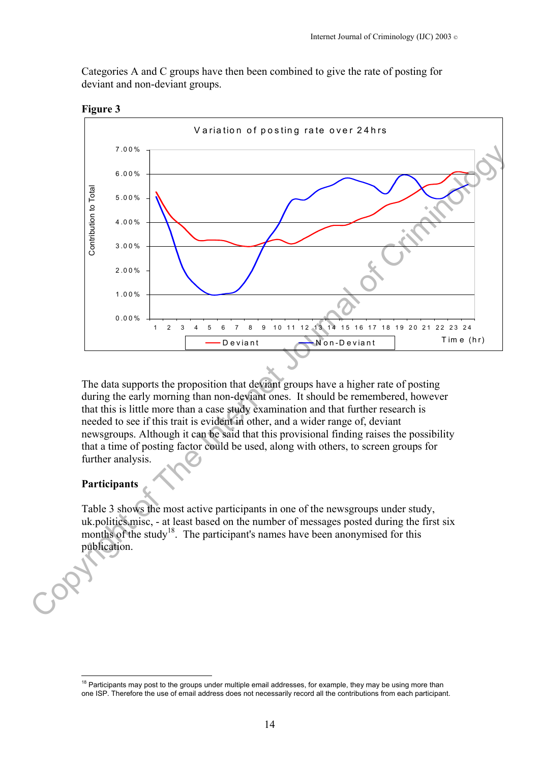Categories A and C groups have then been combined to give the rate of posting for deviant and non-deviant groups.



**Figure 3** 

The data supports the proposition that deviant groups have a higher rate of posting during the early morning than non-deviant ones. It should be remembered, however that this is little more than a case study examination and that further research is needed to see if this trait is evident in other, and a wider range of, deviant newsgroups. Although it can be said that this provisional finding raises the possibility that a time of posting factor could be used, along with others, to screen groups for further analysis.

#### **Participants**

 $\overline{a}$ 

Table 3 shows the most active participants in one of the newsgroups under study, uk.politics.misc, - at least based on the number of messages posted during the first six months of the study<sup>18</sup>. The participant's names have been anonymised for this publication.

<span id="page-13-0"></span> $18$  Participants may post to the groups under multiple email addresses, for example, they may be using more than one ISP. Therefore the use of email address does not necessarily record all the contributions from each participant.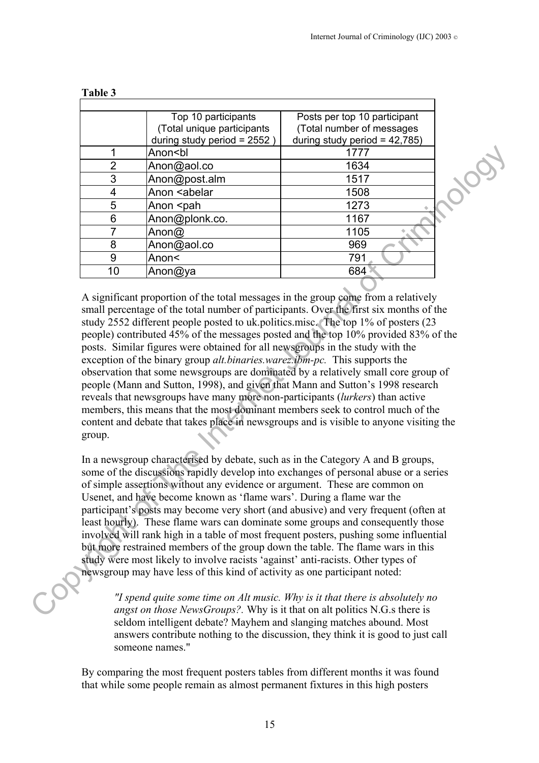|                | Top 10 participants<br>(Total unique participants<br>during study period = 2552) | Posts per top 10 participant<br>(Total number of messages<br>during study period = $42,785$ ) |  |
|----------------|----------------------------------------------------------------------------------|-----------------------------------------------------------------------------------------------|--|
|                | Anon <bl< td=""><td>1777</td><td></td></bl<>                                     | 1777                                                                                          |  |
| $\overline{2}$ | Anon@aol.co                                                                      | 1634                                                                                          |  |
| 3              | Anon@post.alm                                                                    | 1517                                                                                          |  |
| 4              | Anon <abelar< td=""><td>1508</td><td></td></abelar<>                             | 1508                                                                                          |  |
| 5              | Anon <pah< td=""><td>1273</td><td></td></pah<>                                   | 1273                                                                                          |  |
| 6              | Anon@plonk.co.                                                                   | 1167                                                                                          |  |
|                | Anon $@$                                                                         | 1105                                                                                          |  |
| 8              | Anon@aol.co                                                                      | 969                                                                                           |  |
| 9              | Anon<                                                                            | 791                                                                                           |  |
| 10             | Anon@ya                                                                          | 684                                                                                           |  |

#### **Table 3**

A significant proportion of the total messages in the group come from a relatively small percentage of the total number of participants. Over the first six months of the study 2552 different people posted to uk.politics.misc. The top 1% of posters (23 people) contributed 45% of the messages posted and the top 10% provided 83% of the posts. Similar figures were obtained for all newsgroups in the study with the exception of the binary group *alt.binaries.warez.ibm-pc.* This supports the observation that some newsgroups are dominated by a relatively small core group of people (Mann and Sutton, 1998), and given that Mann and Sutton's 1998 research reveals that newsgroups have many more non-participants (*lurkers*) than active members, this means that the most dominant members seek to control much of the content and debate that takes place in newsgroups and is visible to anyone visiting the group. 1 Anon-Colar<br>
2 Anon-Capacitor<br>
3 Anon-Capacitor<br>
4 Anon-Capacitor<br>
6 Anon-Capacitor<br>
6 Anon-Capacitor<br>
6 Anon-Capacitor<br>
6 Anon-Capacitor<br>
6 Anon-Capacitor<br>
6 Anon-Capacitor<br>
6 Anon-Capacitor<br>
9 Anon-Capacitor<br>
9 Anon-Ca

In a newsgroup characterised by debate, such as in the Category A and B groups, some of the discussions rapidly develop into exchanges of personal abuse or a series of simple assertions without any evidence or argument. These are common on Usenet, and have become known as 'flame wars'. During a flame war the participant's posts may become very short (and abusive) and very frequent (often at least hourly). These flame wars can dominate some groups and consequently those involved will rank high in a table of most frequent posters, pushing some influential but more restrained members of the group down the table. The flame wars in this study were most likely to involve racists 'against' anti-racists. Other types of newsgroup may have less of this kind of activity as one participant noted:

*"I spend quite some time on Alt music. Why is it that there is absolutely no angst on those NewsGroups?.* Why is it that on alt politics N.G.s there is seldom intelligent debate? Mayhem and slanging matches abound. Most answers contribute nothing to the discussion, they think it is good to just call someone names."

By comparing the most frequent posters tables from different months it was found that while some people remain as almost permanent fixtures in this high posters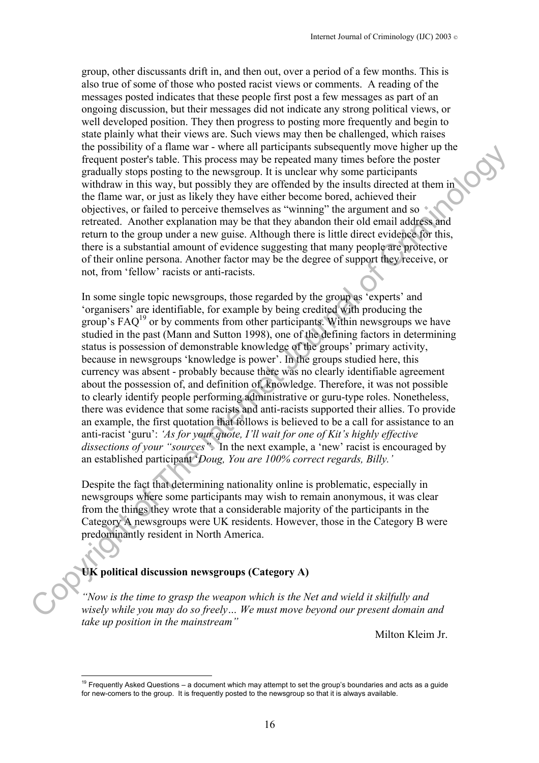group, other discussants drift in, and then out, over a period of a few months. This is also true of some of those who posted racist views or comments. A reading of the messages posted indicates that these people first post a few messages as part of an ongoing discussion, but their messages did not indicate any strong political views, or well developed position. They then progress to posting more frequently and begin to state plainly what their views are. Such views may then be challenged, which raises the possibility of a flame war - where all participants subsequently move higher up the frequent poster's table. This process may be repeated many times before the poster gradually stops posting to the newsgroup. It is unclear why some participants withdraw in this way, but possibly they are offended by the insults directed at them in the flame war, or just as likely they have either become bored, achieved their objectives, or failed to perceive themselves as "winning" the argument and so retreated. Another explanation may be that they abandon their old email address and return to the group under a new guise. Although there is little direct evidence for this, there is a substantial amount of evidence suggesting that many people are protective of their online persona. Another factor may be the degree of support they receive, or not, from 'fellow' racists or anti-racists.

In some single topic newsgroups, those regarded by the group as 'experts' and 'organisers' are identifiable, for example by being credited with producing the group's  $\text{FAQ}^{19}$  or by comments from other participants. Within newsgroups we have studied in the past (Mann and Sutton 1998), one of the defining factors in determining status is possession of demonstrable knowledge of the groups' primary activity, because in newsgroups 'knowledge is power'. In the groups studied here, this currency was absent - probably because there was no clearly identifiable agreement about the possession of, and definition of, knowledge. Therefore, it was not possible to clearly identify people performing administrative or guru-type roles. Nonetheless, there was evidence that some racists and anti-racists supported their allies. To provide an example, the first quotation that follows is believed to be a call for assistance to an anti-racist 'guru': *'As for your quote, I'll wait for one of Kit's highly effective dissections of your "sources".* In the next example, a 'new' racist is encouraged by an established participant '*Doug, You are 100% correct regards, Billy.'* Inc. Decays three was event went to the Internet subsequent power map the Net and Wein-<br>
The present of the Internet Unit process any be repeated many times before the poster<br>
gradually stop positing to the newagroup It's

Despite the fact that determining nationality online is problematic, especially in newsgroups where some participants may wish to remain anonymous, it was clear from the things they wrote that a considerable majority of the participants in the Category A newsgroups were UK residents. However, those in the Category B were predominantly resident in North America.

# **UK political discussion newsgroups (Category A)**

 $\overline{a}$ 

*"Now is the time to grasp the weapon which is the Net and wield it skilfully and wisely while you may do so freely… We must move beyond our present domain and take up position in the mainstream"* 

Milton Kleim Jr.

<span id="page-15-0"></span> $19$  Frequently Asked Questions – a document which may attempt to set the group's boundaries and acts as a quide for new-comers to the group. It is frequently posted to the newsgroup so that it is always available.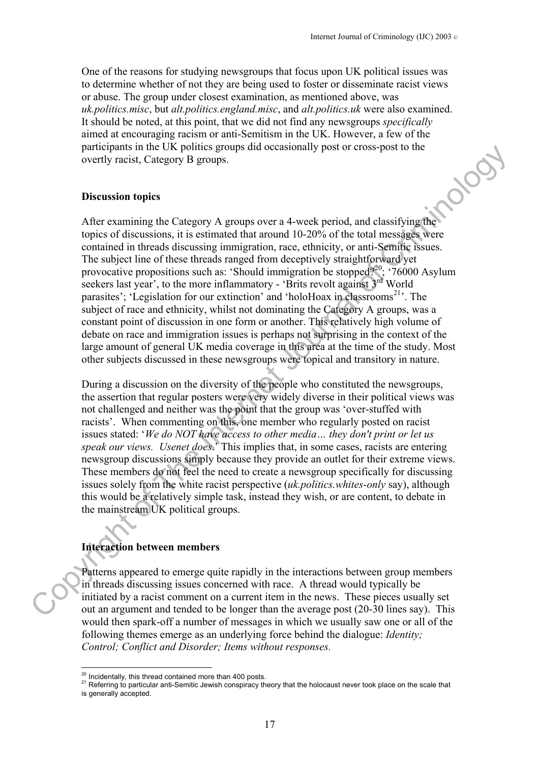One of the reasons for studying newsgroups that focus upon UK political issues was to determine whether of not they are being used to foster or disseminate racist views or abuse. The group under closest examination, as mentioned above, was *uk.politics.misc*, but *alt.politics.england.misc*, and *alt.politics.uk* were also examined. It should be noted, at this point, that we did not find any newsgroups *specifically* aimed at encouraging racism or anti-Semitism in the UK. However, a few of the participants in the UK politics groups did occasionally post or cross-post to the<br>overtly racist, Category B groups.<br>Discussion topics<br>After our control of the control of the control of the control of the control of the co overtly racist, Category B groups.

#### **Discussion topics**

After examining the Category A groups over a 4-week period, and classifying the topics of discussions, it is estimated that around 10-20% of the total messages were contained in threads discussing immigration, race, ethnicity, or anti-Semitic issues. The subject line of these threads ranged from deceptively straightforward yet provocative propositions such as: 'Should immigration be stopped?<sup>20</sup>; '76000 Asylum seekers last year', to the more inflammatory - 'Brits revolt against 3<sup>rd</sup> World parasites'; 'Legislation for our extinction' and 'holoHoax in classrooms<sup>21</sup>'. The subject of race and ethnicity, whilst not dominating the Category A groups, was a constant point of discussion in one form or another. This relatively high volume of debate on race and immigration issues is perhaps not surprising in the context of the large amount of general UK media coverage in this area at the time of the study. Most other subjects discussed in these newsgroups were topical and transitory in nature. partneys in the C knot points groups and occurs are the specifical to the points [of](#page-16-0) the Internet Internet [C](#page-16-0)orrelation of the Internet Internet United States (and the Internet States of the Internet United States (and the I

During a discussion on the diversity of the people who constituted the newsgroups, the assertion that regular posters were very widely diverse in their political views was not challenged and neither was the point that the group was 'over-stuffed with racists'. When commenting on this, one member who regularly posted on racist issues stated: '*We do NOT have access to other media… they don't print or let us speak our views. Usenet does*.' This implies that, in some cases, racists are entering newsgroup discussions simply because they provide an outlet for their extreme views. These members do not feel the need to create a newsgroup specifically for discussing issues solely from the white racist perspective (*uk.politics.whites-only* say), although this would be a relatively simple task, instead they wish, or are content, to debate in the mainstream UK political groups.

#### **Interaction between members**

Patterns appeared to emerge quite rapidly in the interactions between group members in threads discussing issues concerned with race. A thread would typically be initiated by a racist comment on a current item in the news. These pieces usually set out an argument and tended to be longer than the average post (20-30 lines say). This would then spark-off a number of messages in which we usually saw one or all of the following themes emerge as an underlying force behind the dialogue: *Identity; Control; Conflict and Disorder; Items without responses.* 

<span id="page-16-0"></span><sup>&</sup>lt;sup>20</sup> Incidentally, this thread contained more than 400 posts.

<span id="page-16-1"></span><sup>&</sup>lt;sup>21</sup> Referring to particular anti-Semitic Jewish conspiracy theory that the holocaust never took place on the scale that is generally accepted.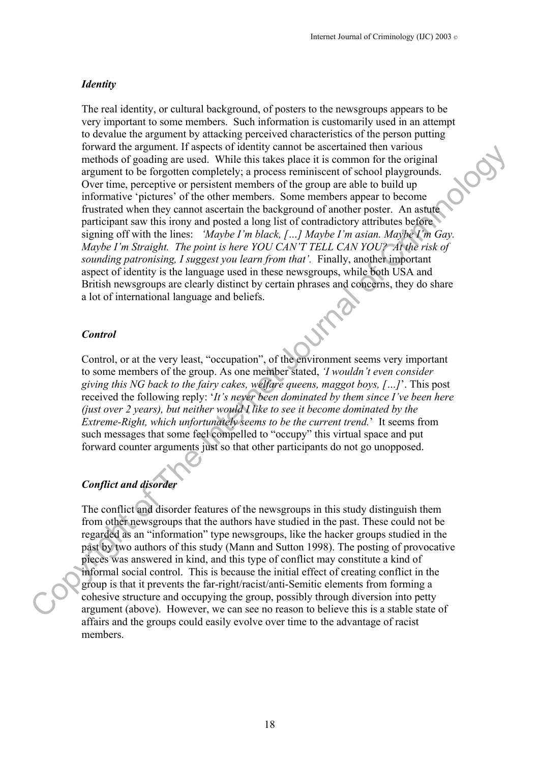#### *Identity*

The real identity, or cultural background, of posters to the newsgroups appears to be very important to some members. Such information is customarily used in an attempt to devalue the argument by attacking perceived characteristics of the person putting forward the argument. If aspects of identity cannot be ascertained then various methods of goading are used. While this takes place it is common for the original argument to be forgotten completely; a process reminiscent of school playgrounds. Over time, perceptive or persistent members of the group are able to build up informative 'pictures' of the other members. Some members appear to become frustrated when they cannot ascertain the background of another poster. An astute participant saw this irony and posted a long list of contradictory attributes before signing off with the lines: *'Maybe I'm black, […] Maybe I'm asian. Maybe I'm Gay. Maybe I'm Straight. The point is here YOU CAN'T TELL CAN YOU? At the risk of sounding patronising, I suggest you learn from that'.* Finally, another important aspect of identity is the language used in these newsgroups, while both USA and British newsgroups are clearly distinct by certain phrases and concerns, they do share a lot of international language and beliefs. roward into argumentar it aspects of neutrony cannot are becoming done and the spanned the behavior and the proposition constrained by the proposition of the foreground of the original argument to be foreground of such and

#### *Control*

Control, or at the very least, "occupation", of the environment seems very important to some members of the group. As one member stated, *'I wouldn't even consider giving this NG back to the fairy cakes, welfare queens, maggot boys, […]*'. This post received the following reply: '*It's never been dominated by them since I've been here (just over 2 years), but neither would I like to see it become dominated by the Extreme-Right, which unfortunately seems to be the current trend.*' It seems from such messages that some feel compelled to "occupy" this virtual space and put forward counter arguments just so that other participants do not go unopposed.

## *Conflict and disorder*

The conflict and disorder features of the newsgroups in this study distinguish them from other newsgroups that the authors have studied in the past. These could not be regarded as an "information" type newsgroups, like the hacker groups studied in the past by two authors of this study (Mann and Sutton 1998). The posting of provocative pieces was answered in kind, and this type of conflict may constitute a kind of informal social control. This is because the initial effect of creating conflict in the group is that it prevents the far-right/racist/anti-Semitic elements from forming a cohesive structure and occupying the group, possibly through diversion into petty argument (above). However, we can see no reason to believe this is a stable state of affairs and the groups could easily evolve over time to the advantage of racist members.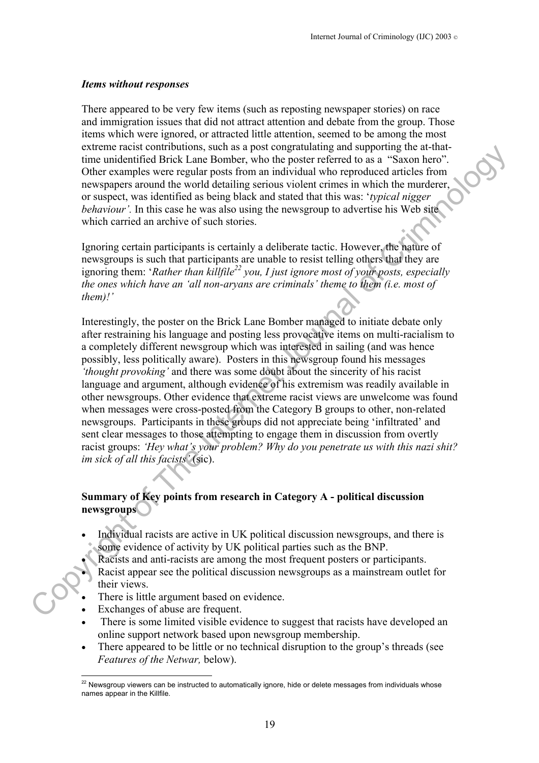#### *Items without responses*

There appeared to be very few items (such as reposting newspaper stories) on race and immigration issues that did not attract attention and debate from the group. Those items which were ignored, or attracted little attention, seemed to be among the most extreme racist contributions, such as a post congratulating and supporting the at-thattime unidentified Brick Lane Bomber, who the poster referred to as a "Saxon hero". Other examples were regular posts from an individual who reproduced articles from newspapers around the world detailing serious violent crimes in which the murderer, or suspect, was identified as being black and stated that this was: '*typical nigger behaviour'*. In this case he was also using the newsgroup to advertise his Web site which carried an archive of such stories.

Ignoring certain participants is certainly a deliberate tactic. However, the nature of newsgroups is such that participants are unable to resist telling others that they are ignoring them: '*Rather than killfile<sup>22</sup> you, I just ignore most of your posts, especially the ones which have an 'all non-aryans are criminals' theme to them (i.e. most of them)!'* 

Interestingly, the poster on the Brick Lane Bomber managed to initiate debate only after restraining his language and posting less provocative items on multi-racialism to a completely different newsgroup which was interested in sailing (and was hence possibly, less politically aware). Posters in this newsgroup found his messages *'thought provoking'* and there was some doubt about the sincerity of his racist language and argument, although evidence of his extremism was readily available in other newsgroups. Other evidence that extreme racist views are unwelcome was found when messages were cross-posted from the Category B groups to other, non-related newsgroups. Participants in these groups did not appreciate being 'infiltrated' and sent clear messages to those attempting to engage them in discussion from overtly racist groups: *'Hey what's your problem? Why do you penetrate us with this nazi shit? im sick of all this facists'* (sic). extractive tracts commutes such as a system content and supporting and supportion content and the policies from an individual who topological articles from the number of the away to the example sweet regular to the system

#### **Summary of Key points from research in Category A - political discussion newsgroups**

- Individual racists are active in UK political discussion newsgroups, and there is some evidence of activity by UK political parties such as the BNP.
- Racists and anti-racists are among the most frequent posters or participants.
- Racist appear see the political discussion newsgroups as a mainstream outlet for their views.
- There is little argument based on evidence.
- Exchanges of abuse are frequent.
- There is some limited visible evidence to suggest that racists have developed an online support network based upon newsgroup membership.
- There appeared to be little or no technical disruption to the group's threads (see *Features of the Netwar,* below).

<span id="page-18-0"></span> $\overline{a}$  $^{22}$  Newsgroup viewers can be instructed to automatically ignore, hide or delete messages from individuals whose names appear in the Killfile.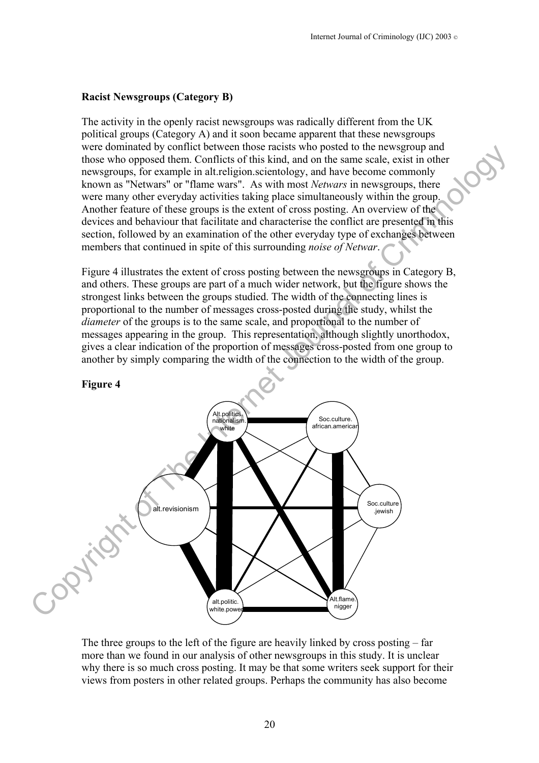#### **Racist Newsgroups (Category B)**

The activity in the openly racist newsgroups was radically different from the UK political groups (Category A) and it soon became apparent that these newsgroups were dominated by conflict between those racists who posted to the newsgroup and those who opposed them. Conflicts of this kind, and on the same scale, exist in other newsgroups, for example in alt.religion.scientology, and have become commonly known as "Netwars" or "flame wars". As with most *Netwars* in newsgroups, there were many other everyday activities taking place simultaneously within the group. Another feature of these groups is the extent of cross posting. An overview of the devices and behaviour that facilitate and characterise the conflict are presented in this section, followed by an examination of the other everyday type of exchanges between members that continued in spite of this surrounding *noise of Netwar*.

Figure 4 illustrates the extent of cross posting between the newsgroups in Category B, and others. These groups are part of a much wider network, but the figure shows the strongest links between the groups studied. The width of the connecting lines is proportional to the number of messages cross-posted during the study, whilst the *diameter* of the groups is to the same scale, and proportional to the number of messages appearing in the group. This representation, although slightly unorthodox, gives a clear indication of the proportion of messages cross-posted from one group to another by simply comparing the width of the connection to the width of the group.



The three groups to the left of the figure are heavily linked by cross posting  $-$  far more than we found in our analysis of other newsgroups in this study. It is unclear why there is so much cross posting. It may be that some writers seek support for their views from posters in other related groups. Perhaps the community has also become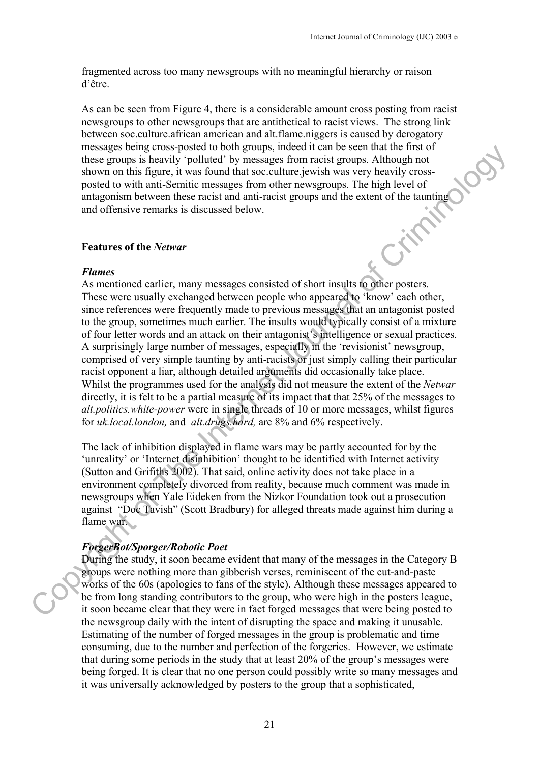fragmented across too many newsgroups with no meaningful hierarchy or raison d'être.

As can be seen from Figure 4, there is a considerable amount cross posting from racist newsgroups to other newsgroups that are antithetical to racist views. The strong link between soc.culture.african american and alt.flame.niggers is caused by derogatory messages being cross-posted to both groups, indeed it can be seen that the first of these groups is heavily 'polluted' by messages from racist groups. Although not shown on this figure, it was found that soc.culture.jewish was very heavily crossposted to with anti-Semitic messages from other newsgroups. The high level of antagonism between these racist and anti-racist groups and the extent of the taunting<br>and offensive remarks is discussed below.<br>Features of the *Netwar*<br>Flames and offensive remarks is discussed below.

#### **Features of the** *Netwar*

#### *Flames*

As mentioned earlier, many messages consisted of short insults to other posters. These were usually exchanged between people who appeared to 'know' each other, since references were frequently made to previous messages that an antagonist posted to the group, sometimes much earlier. The insults would typically consist of a mixture of four letter words and an attack on their antagonist's intelligence or sexual practices. A surprisingly large number of messages, especially in the 'revisionist' newsgroup, comprised of very simple taunting by anti-racists or just simply calling their particular racist opponent a liar, although detailed arguments did occasionally take place. Whilst the programmes used for the analysis did not measure the extent of the *Netwar* directly, it is felt to be a partial measure of its impact that that 25% of the messages to *alt.politics.white-power* were in single threads of 10 or more messages, whilst figures for *uk.local.london,* and *alt.drugs.hard,* are 8% and 6% respectively. Thus ages to the matter of the matter of the matter of the matter of the matter of the matternet properties of the Internet Show on this figure. The light level of the Internet Show on this figure, it was found that so cu

The lack of inhibition displayed in flame wars may be partly accounted for by the 'unreality' or 'Internet disinhibition' thought to be identified with Internet activity (Sutton and Grifiths 2002). That said, online activity does not take place in a environment completely divorced from reality, because much comment was made in newsgroups when Yale Eideken from the Nizkor Foundation took out a prosecution against "Doc Tavish" (Scott Bradbury) for alleged threats made against him during a flame war.

## *ForgerBot/Sporger/Robotic Poet*

During the study, it soon became evident that many of the messages in the Category B groups were nothing more than gibberish verses, reminiscent of the cut-and-paste works of the 60s (apologies to fans of the style). Although these messages appeared to be from long standing contributors to the group, who were high in the posters league, it soon became clear that they were in fact forged messages that were being posted to the newsgroup daily with the intent of disrupting the space and making it unusable. Estimating of the number of forged messages in the group is problematic and time consuming, due to the number and perfection of the forgeries. However, we estimate that during some periods in the study that at least 20% of the group's messages were being forged. It is clear that no one person could possibly write so many messages and it was universally acknowledged by posters to the group that a sophisticated,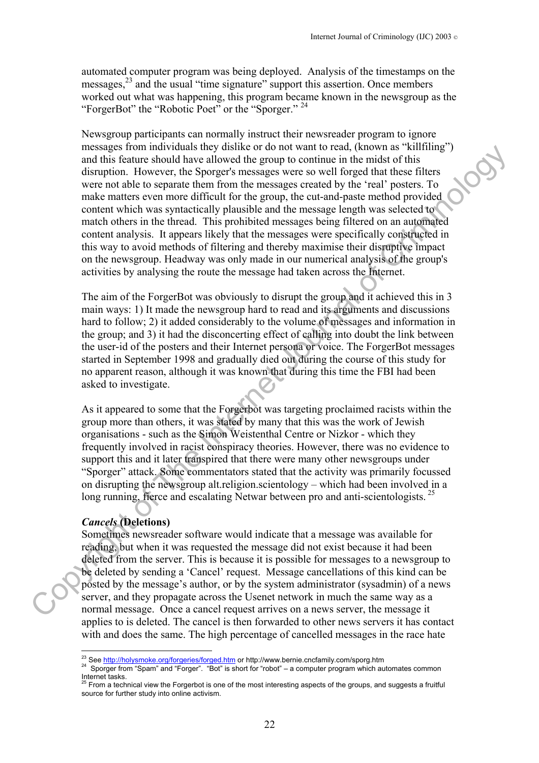automated computer program was being deployed. Analysis of the timestamps on the messages,[23](#page-21-0) and the usual "time signature" support this assertion. Once members worked out what was happening, this program became known in the newsgroup as the "ForgerBot" the "Robotic Poet" or the "Sporger." [24](#page-21-1)

Newsgroup participants can normally instruct their newsreader program to ignore messages from individuals they dislike or do not want to read, (known as "killfiling") and this feature should have allowed the group to continue in the midst of this disruption. However, the Sporger's messages were so well forged that these filters were not able to separate them from the messages created by the 'real' posters. To make matters even more difficult for the group, the cut-and-paste method provided content which was syntactically plausible and the message length was selected to match others in the thread. This prohibited messages being filtered on an automated content analysis. It appears likely that the messages were specifically constructed in this way to avoid methods of filtering and thereby maximise their disruptive impact on the newsgroup. Headway was only made in our numerical analysis of the group's activities by analysing the route the message had taken across the Internet. messiges from that we are started that the Eugenbox of the Oriental of the Criminal of Criminal of Criminal of Criminal of Criminal of The Internet Section with the Internet Section with the Internet Section with the Inter

The aim of the ForgerBot was obviously to disrupt the group and it achieved this in 3 main ways: 1) It made the newsgroup hard to read and its arguments and discussions hard to follow; 2) it added considerably to the volume of messages and information in the group; and 3) it had the disconcerting effect of calling into doubt the link between the user-id of the posters and their Internet persona or voice. The ForgerBot messages started in September 1998 and gradually died out during the course of this study for no apparent reason, although it was known that during this time the FBI had been asked to investigate.

As it appeared to some that the Forgerbot was targeting proclaimed racists within the group more than others, it was stated by many that this was the work of Jewish organisations - such as the Simon Weistenthal Centre or Nizkor - which they frequently involved in racist conspiracy theories. However, there was no evidence to support this and it later transpired that there were many other newsgroups under "Sporger" attack. Some commentators stated that the activity was primarily focussed on disrupting the newsgroup alt.religion.scientology – which had been involved in a long running, fierce and escalating Netwar between pro and anti-scientologists.<sup>25</sup>

# *Cancels* **(Deletions)**

Sometimes newsreader software would indicate that a message was available for reading, but when it was requested the message did not exist because it had been deleted from the server. This is because it is possible for messages to a newsgroup to be deleted by sending a 'Cancel' request. Message cancellations of this kind can be posted by the message's author, or by the system administrator (sysadmin) of a news server, and they propagate across the Usenet network in much the same way as a normal message. Once a cancel request arrives on a news server, the message it applies to is deleted. The cancel is then forwarded to other news servers it has contact with and does the same. The high percentage of cancelled messages in the race hate

<span id="page-21-0"></span><sup>&</sup>lt;sup>23</sup> See http://holysmoke.org/forgeries/forged.htm or http://www.bernie.cncfamily.com/sporg.htm

<span id="page-21-1"></span><sup>&</sup>lt;sup>24</sup> Sp[orger from "Spam" and "Forger". "Bot" is sh](http://holysmoke.org/forgeries/forged.htm)ort for "robot" – a computer program which automates common Internet tasks.<br><sup>25</sup> From a technical view the Forgerbot is one of the most interesting aspects of the groups, and suggests a fruitful

<span id="page-21-2"></span>source for further study into online activism.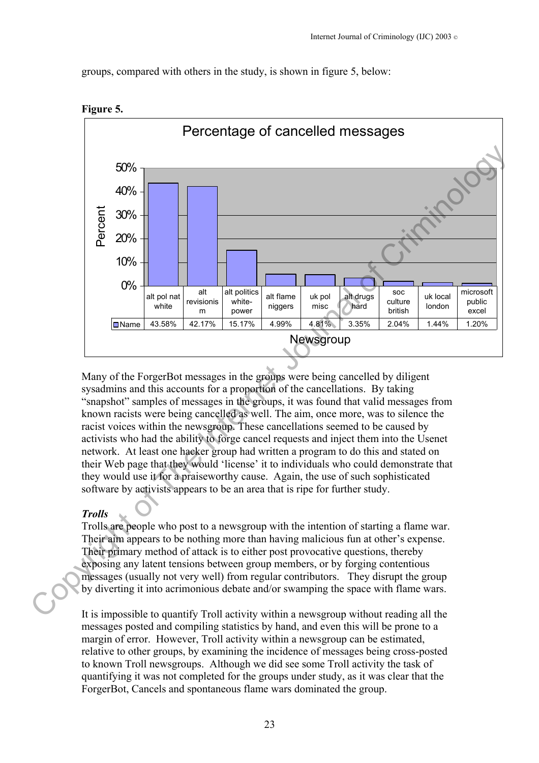groups, compared with others in the study, is shown in figure 5, below:





Many of the ForgerBot messages in the groups were being cancelled by diligent sysadmins and this accounts for a proportion of the cancellations. By taking "snapshot" samples of messages in the groups, it was found that valid messages from known racists were being cancelled as well. The aim, once more, was to silence the racist voices within the newsgroup. These cancellations seemed to be caused by activists who had the ability to forge cancel requests and inject them into the Usenet network. At least one hacker group had written a program to do this and stated on their Web page that they would 'license' it to individuals who could demonstrate that they would use it for a praiseworthy cause. Again, the use of such sophisticated software by activists appears to be an area that is ripe for further study.

#### *Trolls*

Trolls are people who post to a newsgroup with the intention of starting a flame war. Their aim appears to be nothing more than having malicious fun at other's expense. Their primary method of attack is to either post provocative questions, thereby exposing any latent tensions between group members, or by forging contentious messages (usually not very well) from regular contributors. They disrupt the group by diverting it into acrimonious debate and/or swamping the space with flame wars.

It is impossible to quantify Troll activity within a newsgroup without reading all the messages posted and compiling statistics by hand, and even this will be prone to a margin of error. However, Troll activity within a newsgroup can be estimated, relative to other groups, by examining the incidence of messages being cross-posted to known Troll newsgroups. Although we did see some Troll activity the task of quantifying it was not completed for the groups under study, as it was clear that the ForgerBot, Cancels and spontaneous flame wars dominated the group.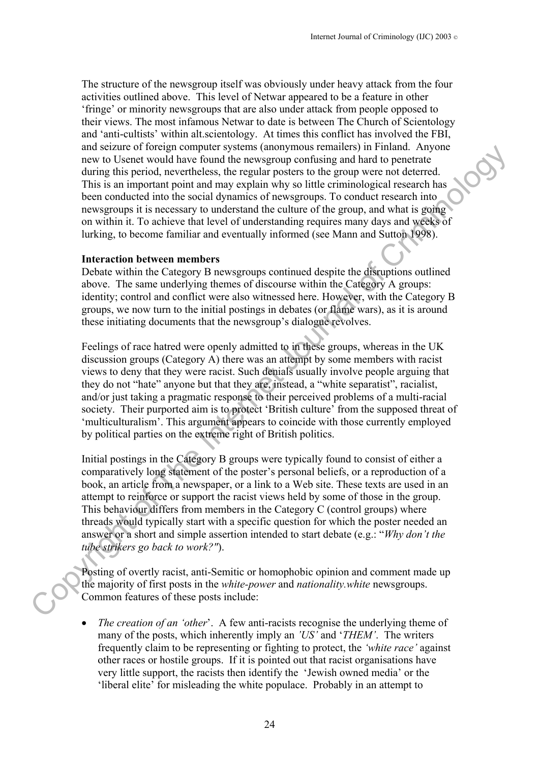The structure of the newsgroup itself was obviously under heavy attack from the four activities outlined above. This level of Netwar appeared to be a feature in other 'fringe' or minority newsgroups that are also under attack from people opposed to their views. The most infamous Netwar to date is between The Church of Scientology and 'anti-cultists' within alt.scientology. At times this conflict has involved the FBI, and seizure of foreign computer systems (anonymous remailers) in Finland. Anyone new to Usenet would have found the newsgroup confusing and hard to penetrate during this period, nevertheless, the regular posters to the group were not deterred. This is an important point and may explain why so little criminological research has been conducted into the social dynamics of newsgroups. To conduct research into newsgroups it is necessary to understand the culture of the group, and what is going on within it. To achieve that level of understanding requires many days and weeks of lurking, to become familiar and eventually informed (see Mann and Sutton 1998).

#### **Interaction between members**

Debate within the Category B newsgroups continued despite the disruptions outlined above. The same underlying themes of discourse within the Category A groups: identity; control and conflict were also witnessed here. However, with the Category B groups, we now turn to the initial postings in debates (or flame wars), as it is around these initiating documents that the newsgroup's dialogue revolves.

Feelings of race hatred were openly admitted to in these groups, whereas in the UK discussion groups (Category A) there was an attempt by some members with racist views to deny that they were racist. Such denials usually involve people arguing that they do not "hate" anyone but that they are, instead, a "white separatist", racialist, and/or just taking a pragmatic response to their perceived problems of a multi-racial society. Their purported aim is to protect 'British culture' from the supposed threat of 'multiculturalism'. This argument appears to coincide with those currently employed by political parties on the extreme right of British politics. and security of Torotany computer systems (anonymous traminator) in rantano. Anyone and security of Torotany the real property of the group were to the diverse the mass of the property of the and the Internet of the Crimin

Initial postings in the Category B groups were typically found to consist of either a comparatively long statement of the poster's personal beliefs, or a reproduction of a book, an article from a newspaper, or a link to a Web site. These texts are used in an attempt to reinforce or support the racist views held by some of those in the group. This behaviour differs from members in the Category C (control groups) where threads would typically start with a specific question for which the poster needed an answer or a short and simple assertion intended to start debate (e.g.: "*Why don't the tube strikers go back to work?"*).

Posting of overtly racist, anti-Semitic or homophobic opinion and comment made up the majority of first posts in the *white-power* and *nationality.white* newsgroups. Common features of these posts include:

*The creation of an 'other'.* A few anti-racists recognise the underlying theme of many of the posts, which inherently imply an *'US'* and '*THEM'*. The writers frequently claim to be representing or fighting to protect, the *'white race'* against other races or hostile groups. If it is pointed out that racist organisations have very little support, the racists then identify the 'Jewish owned media' or the 'liberal elite' for misleading the white populace. Probably in an attempt to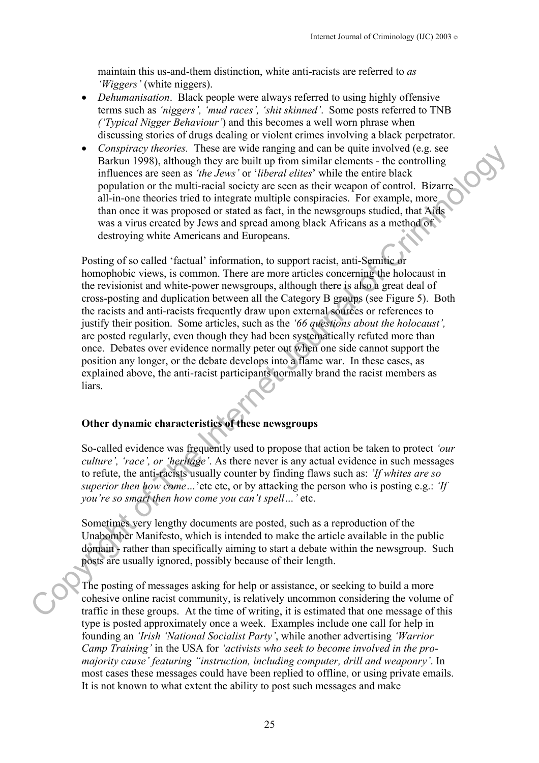maintain this us-and-them distinction, white anti-racists are referred to *as 'Wiggers'* (white niggers).

- *Dehumanisation*. Black people were always referred to using highly offensive terms such as *'niggers', 'mud races', 'shit skinned'*. Some posts referred to TNB *('Typical Nigger Behaviour'*) and this becomes a well worn phrase when discussing stories of drugs dealing or violent crimes involving a black perpetrator.
- *Conspiracy theories.* These are wide ranging and can be quite involved (e.g. see Barkun 1998), although they are built up from similar elements - the controlling influences are seen as *'the Jews'* or '*liberal elites*' while the entire black population or the multi-racial society are seen as their weapon of control. Bizarre all-in-one theories tried to integrate multiple conspiracies. For example, more than once it was proposed or stated as fact, in the newsgroups studied, that Aids was a virus created by Jews and spread among black Africans as a method of destroying white Americans and Europeans.

Posting of so called 'factual' information, to support racist, anti-Semitic or homophobic views, is common. There are more articles concerning the holocaust in the revisionist and white-power newsgroups, although there is also a great deal of cross-posting and duplication between all the Category B groups (see Figure 5). Both the racists and anti-racists frequently draw upon external sources or references to justify their position. Some articles, such as the *'66 questions about the holocaust',* are posted regularly, even though they had been systematically refuted more than once. Debates over evidence normally peter out when one side cannot support the position any longer, or the debate develops into a flame war. In these cases, as explained above, the anti-racist participants normally brand the racist members as liars. Congright of the mean with the mean way the mean way the control (e.g. set<br>
Comparison the mean is the detect of this order that the mean their within the mean to the detect of the set were as the form of the detect with

# **Other dynamic characteristics of these newsgroups**

So-called evidence was frequently used to propose that action be taken to protect *'our culture', 'race', or 'heritage'*. As there never is any actual evidence in such messages to refute, the anti-racists usually counter by finding flaws such as: *'If whites are so superior then how come…*'etc etc, or by attacking the person who is posting e.g.: *'If you're so smart then how come you can't spell…'* etc.

Sometimes very lengthy documents are posted, such as a reproduction of the Unabomber Manifesto, which is intended to make the article available in the public domain - rather than specifically aiming to start a debate within the newsgroup. Such posts are usually ignored, possibly because of their length.

The posting of messages asking for help or assistance, or seeking to build a more cohesive online racist community, is relatively uncommon considering the volume of traffic in these groups. At the time of writing, it is estimated that one message of this type is posted approximately once a week. Examples include one call for help in founding an *'Irish 'National Socialist Party'*, while another advertising *'Warrior Camp Training'* in the USA for *'activists who seek to become involved in the promajority cause' featuring "instruction, including computer, drill and weaponry'*. In most cases these messages could have been replied to offline, or using private emails. It is not known to what extent the ability to post such messages and make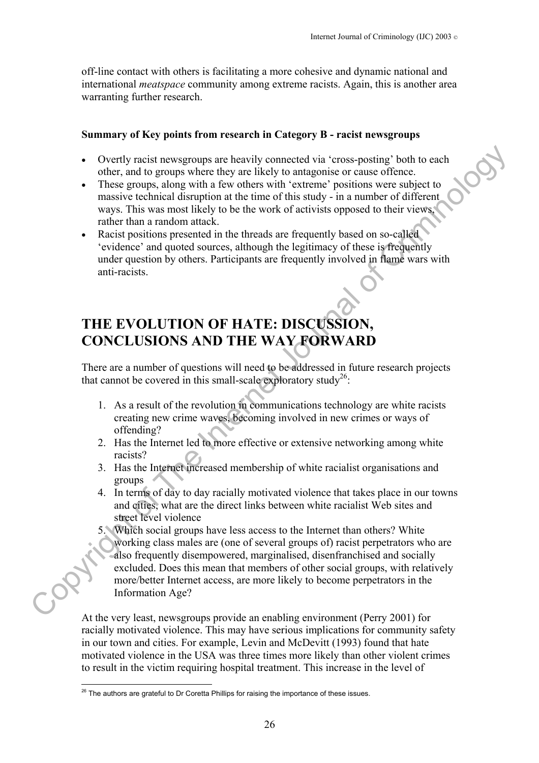off-line contact with others is facilitating a more cohesive and dynamic national and international *meatspace* community among extreme racists. Again, this is another area warranting further research.

#### **Summary of Key points from research in Category B - racist newsgroups**

- Overtly racist newsgroups are heavily connected via 'cross-posting' both to each other, and to groups where they are likely to antagonise or cause offence.
- These groups, along with a few others with 'extreme' positions were subject to massive technical disruption at the time of this study - in a number of different ways. This was most likely to be the work of activists opposed to their views, rather than a random attack.
- Racist positions presented in the threads are frequently based on so-called 'evidence' and quoted sources, although the legitimacy of these is frequently under question by others. Participants are frequently involved in flame wars with anti-racists.

# **THE EVOLUTION OF HATE: DISCUSSION, CONCLUSIONS AND THE WAY FORWARD**

There are a number of questions will need to be addressed in future research projects that cannot be covered in this small-scale exploratory study<sup>26</sup>:

- 1. As a result of the revolution in communications technology are white racists creating new crime waves, becoming involved in new crimes or ways of offending?
- 2. Has the Internet led to more effective or extensive networking among white racists?
- 3. Has the Internet increased membership of white racialist organisations and groups
- 4. In terms of day to day racially motivated violence that takes place in our towns and cities, what are the direct links between white racialist Web sites and street level violence

5. Which social groups have less access to the Internet than others? White working class males are (one of several groups of) racist perpetrators who are also frequently disempowered, marginalised, disenfranchised and socially excluded. Does this mean that members of other social groups, with relatively more/better Internet access, are more likely to become perpetrators in the Information Age? Coestly racist newsgroups are heavily connected via 'cross-posting' both to each<br>other, and to groups where they are likely to antigative or ease. of these<br>measurements of the Internet positions were subject to<br>measure cl

At the very least, newsgroups provide an enabling environment (Perry 2001) for racially motivated violence. This may have serious implications for community safety in our town and cities. For example, Levin and McDevitt (1993) found that hate motivated violence in the USA was three times more likely than other violent crimes to result in the victim requiring hospital treatment. This increase in the level of

<span id="page-25-0"></span> $\overline{a}$  $26$  The authors are grateful to Dr Coretta Phillips for raising the importance of these issues.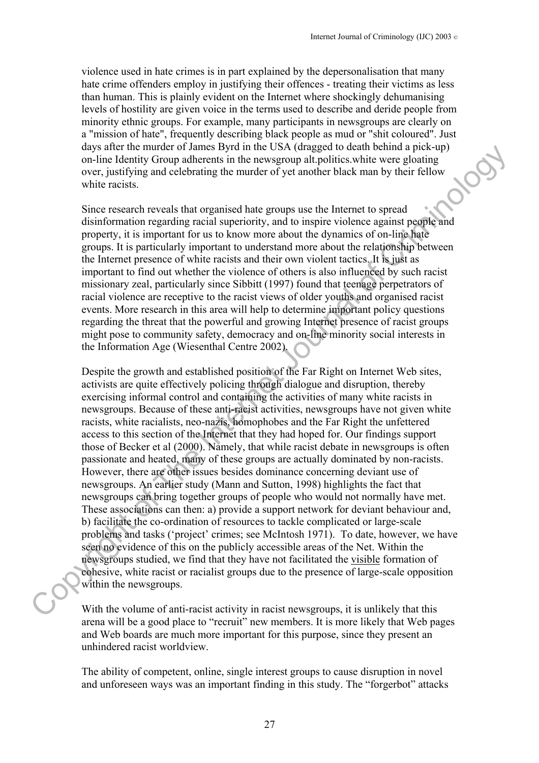violence used in hate crimes is in part explained by the depersonalisation that many hate crime offenders employ in justifying their offences - treating their victims as less than human. This is plainly evident on the Internet where shockingly dehumanising levels of hostility are given voice in the terms used to describe and deride people from minority ethnic groups. For example, many participants in newsgroups are clearly on a "mission of hate", frequently describing black people as mud or "shit coloured". Just days after the murder of James Byrd in the USA (dragged to death behind a pick-up) on-line Identity Group adherents in the newsgroup alt.politics.white were gloating over, justifying and celebrating the murder of yet another black man by their fellow white racists

Since research reveals that organised hate groups use the Internet to spread disinformation regarding racial superiority, and to inspire violence against people and property, it is important for us to know more about the dynamics of on-line hate groups. It is particularly important to understand more about the relationship between the Internet presence of white racists and their own violent tactics. It is just as important to find out whether the violence of others is also influenced by such racist missionary zeal, particularly since Sibbitt (1997) found that teenage perpetrators of racial violence are receptive to the racist views of older youths and organised racist events. More research in this area will help to determine important policy questions regarding the threat that the powerful and growing Internet presence of racist groups might pose to community safety, democracy and on-line minority social interests in the Information Age (Wiesenthal Centre 2002).

Despite the growth and established position of the Far Right on Internet Web sites, activists are quite effectively policing through dialogue and disruption, thereby exercising informal control and containing the activities of many white racists in newsgroups. Because of these anti-racist activities, newsgroups have not given white racists, white racialists, neo-nazis, homophobes and the Far Right the unfettered access to this section of the Internet that they had hoped for. Our findings support those of Becker et al (2000). Namely, that while racist debate in newsgroups is often passionate and heated, many of these groups are actually dominated by non-racists. However, there are other issues besides dominance concerning deviant use of newsgroups. An earlier study (Mann and Sutton, 1998) highlights the fact that newsgroups can bring together groups of people who would not normally have met. These associations can then: a) provide a support network for deviant behaviour and, b) facilitate the co-ordination of resources to tackle complicated or large-scale problems and tasks ('project' crimes; see McIntosh 1971). To date, however, we have seen no evidence of this on the publicly accessible areas of the Net. Within the newsgroups studied, we find that they have not facilitated the visible formation of cohesive, white racist or racialist groups due to the presence of large-scale opposition within the newsgroups. any start are mored of canonical space of decomposition of an increase space of the measurement of yellow while the Internet Criminology and coloring the murder of yet another black man by their fellow over justifying and

With the volume of anti-racist activity in racist newsgroups, it is unlikely that this arena will be a good place to "recruit" new members. It is more likely that Web pages and Web boards are much more important for this purpose, since they present an unhindered racist worldview.

The ability of competent, online, single interest groups to cause disruption in novel and unforeseen ways was an important finding in this study. The "forgerbot" attacks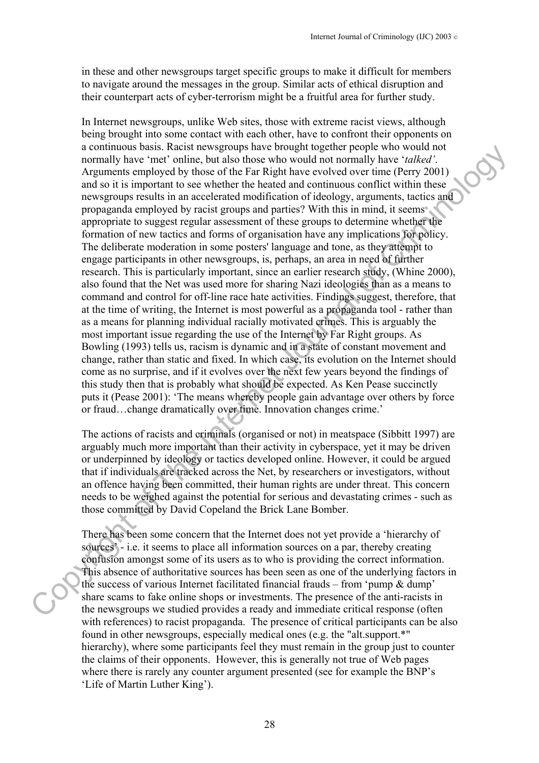in these and other newsgroups target specific groups to make it difficult for members to navigate around the messages in the group. Similar acts of ethical disruption and their counterpart acts of cyber-terrorism might be a fruitful area for further study.

In Internet newsgroups, unlike Web sites, those with extreme racist views, although being brought into some contact with each other, have to confront their opponents on a continuous basis. Racist newsgroups have brought together people who would not normally have 'met' online, but also those who would not normally have '*talked'*. Arguments employed by those of the Far Right have evolved over time (Perry 2001) and so it is important to see whether the heated and continuous conflict within these newsgroups results in an accelerated modification of ideology, arguments, tactics and propaganda employed by racist groups and parties? With this in mind, it seems appropriate to suggest regular assessment of these groups to determine whether the formation of new tactics and forms of organisation have any implications for policy. The deliberate moderation in some posters' language and tone, as they attempt to engage participants in other newsgroups, is, perhaps, an area in need of further research. This is particularly important, since an earlier research study, (Whine 2000), also found that the Net was used more for sharing Nazi ideologies than as a means to command and control for off-line race hate activities. Findings suggest, therefore, that at the time of writing, the Internet is most powerful as a propaganda tool - rather than as a means for planning individual racially motivated crimes. This is arguably the most important issue regarding the use of the Internet by Far Right groups. As Bowling (1993) tells us, racism is dynamic and in a state of constant movement and change, rather than static and fixed. In which case, its evolution on the Internet should come as no surprise, and if it evolves over the next few years beyond the findings of this study then that is probably what should be expected. As Ken Pease succinctly puts it (Pease 2001): 'The means whereby people gain advantage over others by force or fraud…change dramatically over time. Innovation changes crime.' a community have 'note than the between two roomer to generate the policies of the Find the INT (2011) and the main of the INT (2011) and the INT (2011) and the Internet Criminology in the INT (2011) and So It is important

The actions of racists and criminals (organised or not) in meatspace (Sibbitt 1997) are arguably much more important than their activity in cyberspace, yet it may be driven or underpinned by ideology or tactics developed online. However, it could be argued that if individuals are tracked across the Net, by researchers or investigators, without an offence having been committed, their human rights are under threat. This concern needs to be weighed against the potential for serious and devastating crimes - such as those committed by David Copeland the Brick Lane Bomber.

There has been some concern that the Internet does not yet provide a 'hierarchy of sources' - i.e. it seems to place all information sources on a par, thereby creating confusion amongst some of its users as to who is providing the correct information. This absence of authoritative sources has been seen as one of the underlying factors in the success of various Internet facilitated financial frauds – from 'pump & dump' share scams to fake online shops or investments. The presence of the anti-racists in the newsgroups we studied provides a ready and immediate critical response (often with references) to racist propaganda. The presence of critical participants can be also found in other newsgroups, especially medical ones (e.g. the "alt.support.\*" hierarchy), where some participants feel they must remain in the group just to counter the claims of their opponents. However, this is generally not true of Web pages where there is rarely any counter argument presented (see for example the BNP's 'Life of Martin Luther King').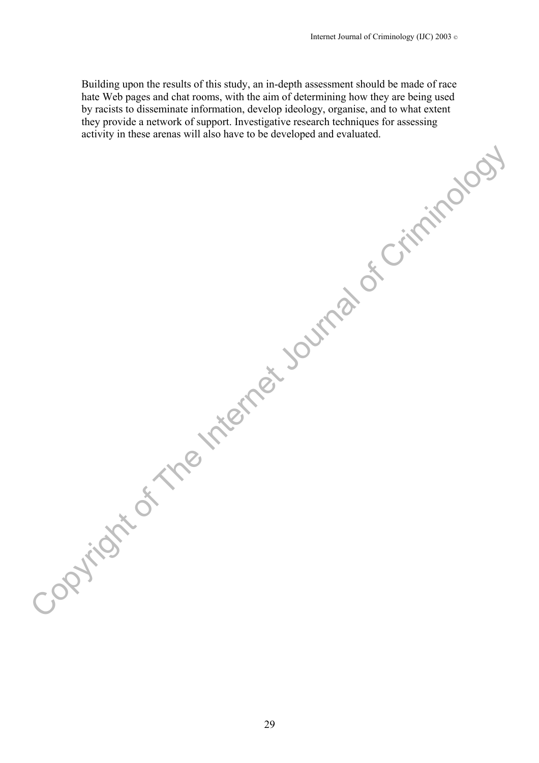Building upon the results of this study, an in-depth assessment should be made of race hate Web pages and chat rooms, with the aim of determining how they are being used by racists to disseminate information, develop ideology, organise, and to what extent they provide a network of support. Investigative research techniques for assessing activity in these arenas will also have to be developed and evaluated.

Copyright of The Internet Journal of Criminology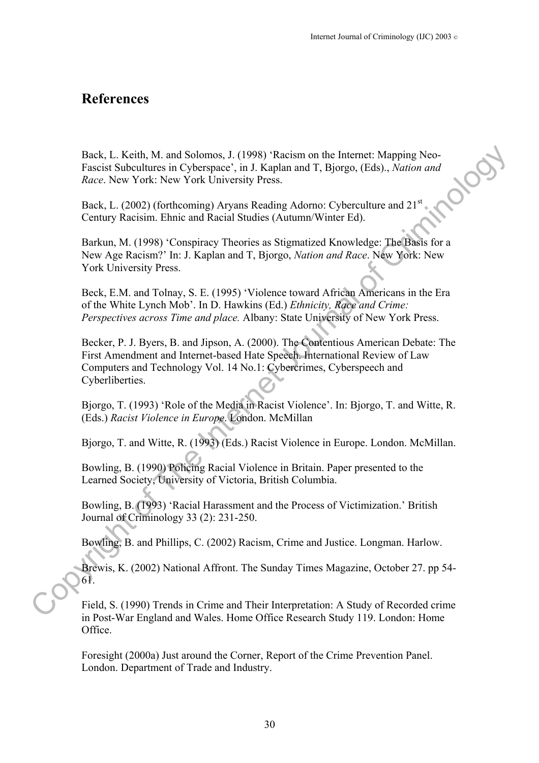# **References**

Back, L. Keith, M. and Solomos, J. (1998) 'Racism on the Internet: Mapping Neo-<br>Fascist Subcultures in Cyberspace', in J. Kaplan and T, Bjorgo, (Eds)., *Nation and*<br>*Race*. New York: New York University Press.<br>Back, L. (20 Fascist Subcultures in Cyberspace', in J. Kaplan and T, Bjorgo, (Eds)., *Nation and Race*. New York: New York University Press.

Back, L. (2002) (forthcoming) Aryans Reading Adorno: Cyberculture and 21<sup>st</sup> Century Racisim. Ehnic and Racial Studies (Autumn/Winter Ed).

Barkun, M. (1998) 'Conspiracy Theories as Stigmatized Knowledge: The Basis for a New Age Racism?' In: J. Kaplan and T, Bjorgo, *Nation and Race*. New York: New York University Press.

Beck, E.M. and Tolnay, S. E. (1995) 'Violence toward African Americans in the Era of the White Lynch Mob'. In D. Hawkins (Ed.) *Ethnicity, Race and Crime: Perspectives across Time and place.* Albany: State University of New York Press.

Becker, P. J. Byers, B. and Jipson, A. (2000). The Contentious American Debate: The First Amendment and Internet-based Hate Speech. International Review of Law Computers and Technology Vol. 14 No.1: Cybercrimes, Cyberspeech and Cyberliberties. Back, L. K.eith, M. and Solomos, J. (1998). Pacism on the Instanct: Mapping New Tessest Subcultures in Cyberspace", in J. Kaplan and T, Bjorgo, (Tds), Nation and<br> *Race,* New York, New York University Press.<br>
Tack, L. (200

Bjorgo, T. (1993) 'Role of the Media in Racist Violence'. In: Bjorgo, T. and Witte, R. (Eds.) *Racist Violence in Europe*. London. McMillan

Bjorgo, T. and Witte, R. (1993) (Eds.) Racist Violence in Europe. London. McMillan.

Bowling, B. (1990) Policing Racial Violence in Britain. Paper presented to the Learned Society, University of Victoria, British Columbia.

Bowling, B. (1993) 'Racial Harassment and the Process of Victimization.' British Journal of Criminology 33 (2): 231-250.

Bowling, B. and Phillips, C. (2002) Racism, Crime and Justice. Longman. Harlow.

Brewis, K. (2002) National Affront. The Sunday Times Magazine, October 27. pp 54- 61.

Field, S. (1990) Trends in Crime and Their Interpretation: A Study of Recorded crime in Post-War England and Wales. Home Office Research Study 119. London: Home Office.

Foresight (2000a) Just around the Corner, Report of the Crime Prevention Panel. London. Department of Trade and Industry.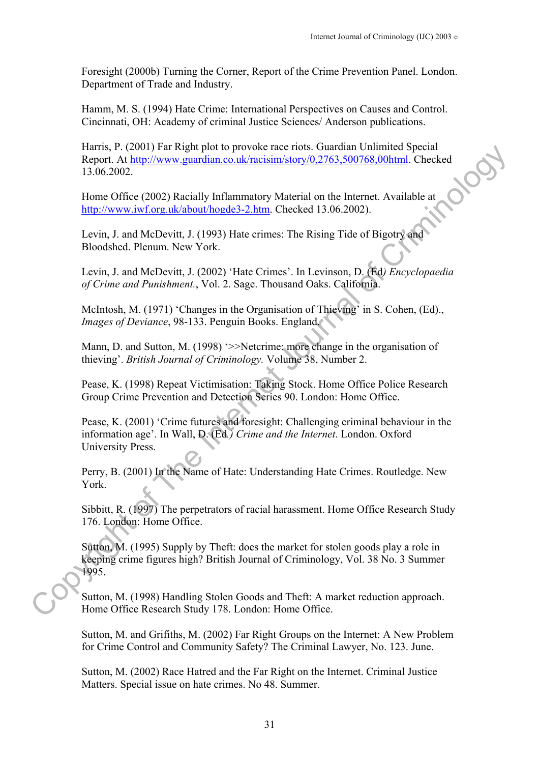Foresight (2000b) Turning the Corner, Report of the Crime Prevention Panel. London. Department of Trade and Industry.

Hamm, M. S. (1994) Hate Crime: International Perspectives on Causes and Control. Cincinnati, OH: Academy of criminal Justice Sciences/ Anderson publications.

Harris, P. (2001) Far Right plot to provoke race riots. Guardian Unlimited Special Report. At <u>http://www.guardian.co.uk/racisim/story/0,2763,500768,00html</u>. Checked<br>13.06.2002.<br>Home Office (2002) Racially Inflate 13.06.2002.

Home Office (2002) Racially Inflammatory Material on the Internet. Available at http://www.iwf.org.uk/about/hogde3-2.htm. Checked 13.06.2002).

Levin, J. and McDevitt, J. (1993) Hate crimes: The Rising Tide of Bigotry and Bloodshed. Plenum. New York.

Levin, J. and McDevitt, J. (2002) 'Hate Crimes'. In Levinson, D. (Ed*) Encyclopaedia of Crime and Punishment.*, Vol. 2. Sage. Thousand Oaks. California.

McIntosh, M. (1971) 'Changes in the Organisation of Thieving' in S. Cohen, (Ed)., *Images of Deviance*, 98-133. Penguin Books. England.

Mann, D. and Sutton, M. (1998) '>>Netcrime: more change in the organisation of thieving'. *British Journal of Criminology.* Volume 38, Number 2.

Pease, K. (1998) Repeat Victimisation: Taking Stock. Home Office Police Research Group Crime Prevention and Detection Series 90. London: Home Office.

Pease, K. (2001) 'Crime futures and foresight: Challenging criminal behaviour in the information age'. In Wall, D. (Ed*.) Crime and the Internet*. London. Oxford University Press. EMITS: P. (2001) For text proposition provides the energy of Universal Channel Checker (100,2002)<br>
Hence Of the Q002) Racially Inflamentary Matchil on the Internet Available at<br>
Home Office (2002) Racially Inflamentary Ma

Perry, B. (2001) In the Name of Hate: Understanding Hate Crimes. Routledge. New York.

Sibbitt, R. (1997) The perpetrators of racial harassment. Home Office Research Study 176. London: Home Office.

Sutton, M. (1995) Supply by Theft: does the market for stolen goods play a role in keeping crime figures high? British Journal of Criminology, Vol. 38 No. 3 Summer 1995.

Sutton, M. (1998) Handling Stolen Goods and Theft: A market reduction approach. Home Office Research Study 178. London: Home Office.

Sutton, M. and Grifiths, M. (2002) Far Right Groups on the Internet: A New Problem for Crime Control and Community Safety? The Criminal Lawyer, No. 123. June.

Sutton, M. (2002) Race Hatred and the Far Right on the Internet. Criminal Justice Matters. Special issue on hate crimes. No 48. Summer.